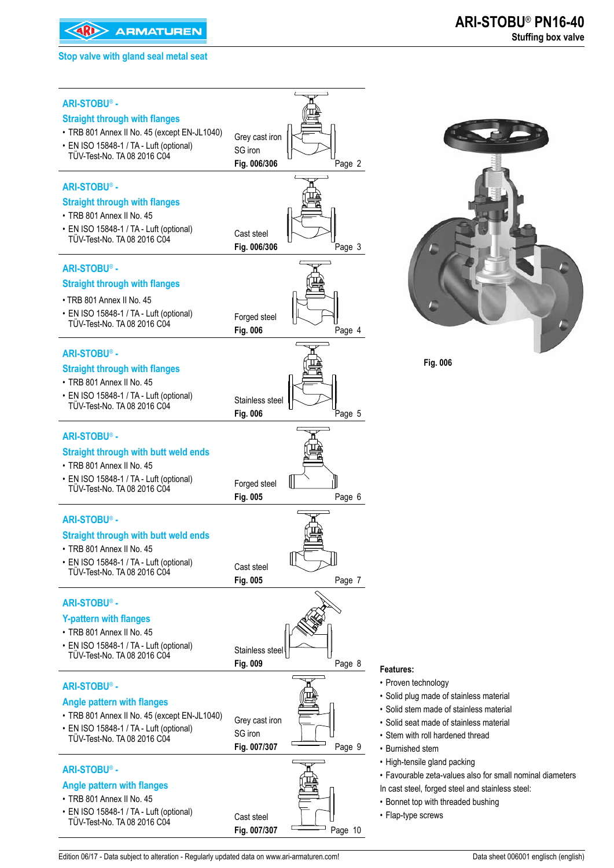**EXAMPLE ARMATUREN** 

#### **Stop valve with gland seal metal seat**



Edition 06/17 - Data subject to alteration - Regularly updated data on www.ari-armaturen.com! Data sheet 006001 englisch (english)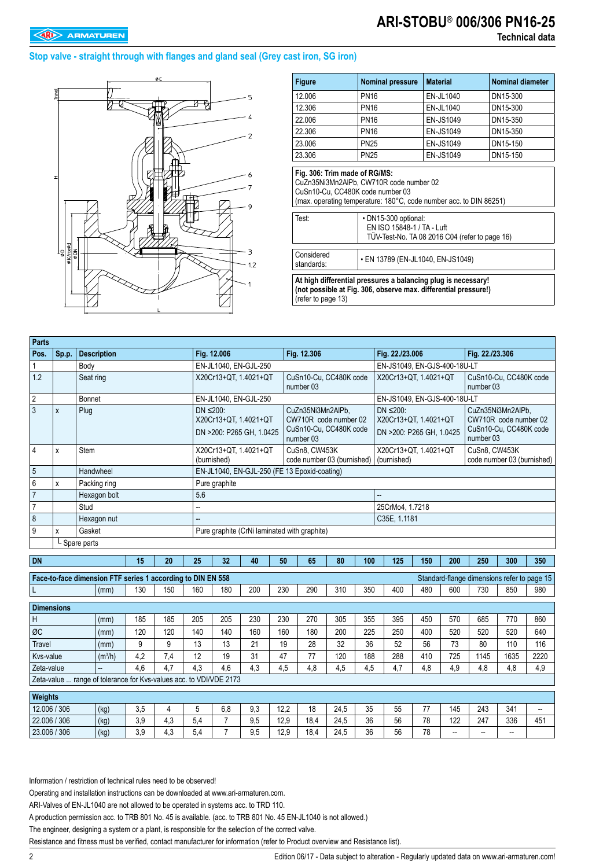# **ARI-STOBU**® **006/306 PN16-25**

### **Stop valve - straight through with flanges and gland seal (Grey cast iron, SG iron)**



| <b>Figure</b>                                                     | <b>Nominal pressure</b>                            | <b>Material</b>                                                                                                      | <b>Nominal diameter</b> |  |  |  |
|-------------------------------------------------------------------|----------------------------------------------------|----------------------------------------------------------------------------------------------------------------------|-------------------------|--|--|--|
| 12.006                                                            | <b>PN16</b>                                        | EN-JL1040                                                                                                            | DN15-300                |  |  |  |
| 12.306                                                            | <b>PN16</b>                                        | EN-JL1040                                                                                                            | DN15-300                |  |  |  |
| 22.006                                                            | <b>PN16</b>                                        | <b>EN-JS1049</b>                                                                                                     | DN15-350                |  |  |  |
| 22.306                                                            | <b>PN16</b>                                        | EN-JS1049                                                                                                            | DN15-350                |  |  |  |
| 23.006                                                            | <b>PN25</b>                                        | <b>EN-JS1049</b>                                                                                                     | DN15-150                |  |  |  |
| <b>EN-JS1049</b><br>23.306<br><b>PN25</b><br>DN15-150             |                                                    |                                                                                                                      |                         |  |  |  |
| Fig. 306: Trim made of RG/MS:<br>CuSn10-Cu, CC480K code number 03 | CuZn35Ni3Mn2AlPb, CW710R code number 02            |                                                                                                                      |                         |  |  |  |
| Test:                                                             | • DN15-300 optional:<br>EN ISO 15848-1 / TA - Luft | (max. operating temperature: 180°C, code number acc. to DIN 86251)<br>TÜV-Test-No. TA 08 2016 C04 (refer to page 16) |                         |  |  |  |

| Parts                                                              |       |                      |                     |                          |                                                             |                 |                                              |                       |                            |                                              |                       |                 |                                     |                                 |                            |                                             |      |      |
|--------------------------------------------------------------------|-------|----------------------|---------------------|--------------------------|-------------------------------------------------------------|-----------------|----------------------------------------------|-----------------------|----------------------------|----------------------------------------------|-----------------------|-----------------|-------------------------------------|---------------------------------|----------------------------|---------------------------------------------|------|------|
| Pos.                                                               | Sp.p. | <b>Description</b>   |                     |                          |                                                             |                 | Fig. 12.006                                  |                       |                            | Fig. 12.306                                  |                       |                 | Fig. 22./23.006                     |                                 |                            | Fig. 22./23.306                             |      |      |
| $\mathbf{1}$                                                       |       | Body                 |                     |                          |                                                             |                 | EN-JL1040, EN-GJL-250                        |                       |                            |                                              |                       |                 | EN-JS1049, EN-GJS-400-18U-LT        |                                 |                            |                                             |      |      |
| 1.2                                                                |       | Seat ring            |                     |                          |                                                             |                 | X20Cr13+QT. 1.4021+QT                        |                       |                            | CuSn10-Cu, CC480K code<br>number 03          |                       |                 | X20Cr13+QT, 1.4021+QT               |                                 |                            | CuSn10-Cu. CC480K code<br>number 03         |      |      |
| $\overline{2}$                                                     |       | Bonnet               |                     |                          |                                                             |                 | EN-JL1040, EN-GJL-250                        |                       |                            |                                              |                       |                 | EN-JS1049, EN-GJS-400-18U-LT        |                                 |                            |                                             |      |      |
| $\overline{3}$                                                     | X     | Plug                 |                     |                          |                                                             | $DN \leq 200$ : |                                              |                       |                            | CuZn35Ni3Mn2AlPb,                            |                       | $DN \leq 200$ : |                                     |                                 | CuZn35Ni3Mn2AlPb.          |                                             |      |      |
|                                                                    |       |                      |                     |                          | X20Cr13+QT, 1.4021+QT                                       |                 |                                              | CW710R code number 02 |                            |                                              | X20Cr13+QT, 1.4021+QT |                 |                                     | CW710R code number 02           |                            |                                             |      |      |
|                                                                    |       |                      |                     | DN >200: P265 GH, 1.0425 |                                                             |                 | CuSn10-Cu, CC480K code<br>number 03          |                       |                            | DN >200: P265 GH, 1.0425                     |                       |                 | CuSn10-Cu, CC480K code<br>number 03 |                                 |                            |                                             |      |      |
| $\overline{4}$                                                     | X     | <b>Stem</b>          |                     |                          |                                                             |                 | X20Cr13+QT, 1.4021+QT                        |                       |                            | CuSn8. CW453K                                |                       |                 | X20Cr13+QT, 1.4021+QT               |                                 |                            | CuSn8. CW453K                               |      |      |
|                                                                    |       |                      |                     |                          |                                                             | (burnished)     |                                              |                       | code number 03 (burnished) |                                              |                       | (burnished)     |                                     |                                 | code number 03 (burnished) |                                             |      |      |
| $\overline{5}$                                                     |       | Handwheel            |                     |                          |                                                             |                 |                                              |                       |                            | EN-JL1040, EN-GJL-250 (FE 13 Epoxid-coating) |                       |                 |                                     |                                 |                            |                                             |      |      |
| $\boldsymbol{6}$<br>$\overline{7}$                                 | X     | Packing ring         |                     |                          |                                                             |                 | Pure graphite                                |                       |                            |                                              |                       |                 |                                     |                                 |                            |                                             |      |      |
| $\overline{7}$                                                     |       | Hexagon bolt<br>Stud |                     |                          |                                                             | 5.6             |                                              |                       |                            |                                              |                       |                 | −−                                  |                                 |                            |                                             |      |      |
| 8                                                                  |       | Hexagon nut          |                     |                          |                                                             |                 | --                                           |                       |                            |                                              |                       |                 |                                     | 25CrMo4, 1.7218<br>C35E, 1.1181 |                            |                                             |      |      |
| 9                                                                  | X     | Gasket               |                     |                          |                                                             |                 | Pure graphite (CrNi laminated with graphite) |                       |                            |                                              |                       |                 |                                     |                                 |                            |                                             |      |      |
|                                                                    |       | L Spare parts        |                     |                          |                                                             |                 |                                              |                       |                            |                                              |                       |                 |                                     |                                 |                            |                                             |      |      |
|                                                                    |       |                      |                     |                          |                                                             |                 |                                              |                       |                            |                                              |                       |                 |                                     |                                 |                            |                                             |      |      |
| <b>DN</b>                                                          |       |                      |                     | 15                       | 20                                                          | 25              | 32                                           | 40                    | 50                         | 65                                           | 80                    | 100             | 125                                 | 150                             | 200                        | 250                                         | 300  | 350  |
|                                                                    |       |                      |                     |                          | Face-to-face dimension FTF series 1 according to DIN EN 558 |                 |                                              |                       |                            |                                              |                       |                 |                                     |                                 |                            | Standard-flange dimensions refer to page 15 |      |      |
| L                                                                  |       |                      | (mm)                | 130                      | 150                                                         | 160             | 180                                          | 200                   | 230                        | 290                                          | 310                   | 350             | 400                                 | 480                             | 600                        | 730                                         | 850  | 980  |
| <b>Dimensions</b>                                                  |       |                      |                     |                          |                                                             |                 |                                              |                       |                            |                                              |                       |                 |                                     |                                 |                            |                                             |      |      |
| H                                                                  |       |                      | (mm)                | 185                      | 185                                                         | 205             | 205                                          | 230                   | 230                        | 270                                          | 305                   | 355             | 395                                 | 450                             | 570                        | 685                                         | 770  | 860  |
| ØC                                                                 |       |                      | (mm)                | 120                      | 120                                                         | 140             | 140                                          | 160                   | 160                        | 180                                          | 200                   | 225             | 250                                 | 400                             | 520                        | 520                                         | 520  | 640  |
| <b>Travel</b>                                                      |       |                      | (mm)                | 9                        | 9                                                           | 13              | 13                                           | 21                    | 19                         | 28                                           | 32                    | 36              | 52                                  | 56                              | 73                         | 80                                          | 110  | 116  |
| Kvs-value                                                          |       |                      | (m <sup>3</sup> /h) | 4,2                      | 7,4                                                         | 12              | 19                                           | 31                    | 47                         | 77                                           | 120                   | 188             | 288                                 | 410                             | 725                        | 1145                                        | 1635 | 2220 |
| Zeta-value                                                         |       |                      |                     | 4,6                      | 4.7                                                         | 4,3             | 4,6                                          | 4,3                   | 4,5                        | 4.8                                          | 4,5                   | 4,5             | 4,7                                 | 4,8                             | 4.9                        | 4.8                                         | 4.8  | 4,9  |
| Zeta-value  range of tolerance for Kvs-values acc. to VDI/VDE 2173 |       |                      |                     |                          |                                                             |                 |                                              |                       |                            |                                              |                       |                 |                                     |                                 |                            |                                             |      |      |
| Weights                                                            |       |                      |                     |                          |                                                             |                 |                                              |                       |                            |                                              |                       |                 |                                     |                                 |                            |                                             |      |      |
| 12.006 / 306                                                       |       |                      | (kg)                | 3,5                      | 4                                                           | 5               | 6,8                                          | 9.3                   | 12,2                       | 18                                           | 24,5                  | 35              | 55                                  | 77                              | 145                        | 243                                         | 341  | --   |
| 22.006 / 306                                                       |       |                      | (kg)                | 3,9                      | 4,3                                                         | 5,4             | $\overline{7}$                               | 9,5                   | 12,9                       | 18,4                                         | 24,5                  | 36              | 56                                  | 78                              | 122                        | 247                                         | 336  | 451  |
| 23.006 / 306                                                       |       |                      | (kg)                | 3,9                      | 4,3                                                         | 5,4             | $\overline{7}$                               | 9,5                   | 12,9                       | 18,4                                         | 24,5                  | 36              | 56                                  | $\overline{78}$                 | --                         | --                                          | --   |      |

Information / restriction of technical rules need to be observed!

Operating and installation instructions can be downloaded at www.ari-armaturen.com.

ARI-Valves of EN-JL1040 are not allowed to be operated in systems acc. to TRD 110.

A production permission acc. to TRB 801 No. 45 is available. (acc. to TRB 801 No. 45 EN-JL1040 is not allowed.)

The engineer, designing a system or a plant, is responsible for the selection of the correct valve.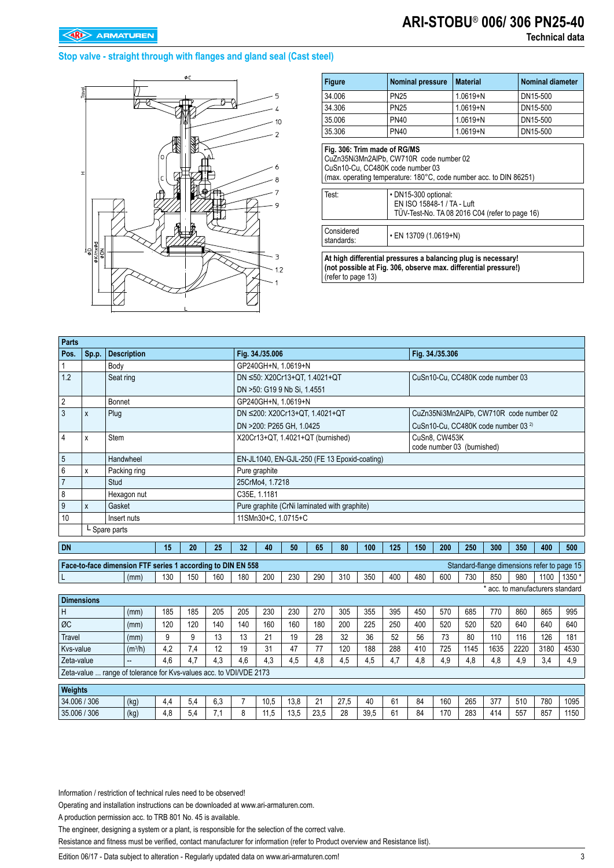# **ARI-STOBU**® **006/ 306 PN25-40**

### **Stop valve - straight through with flanges and gland seal (Cast steel)**



| <b>Figure</b>                                                                                                 | <b>Nominal pressure</b>                                                                                       | <b>Material</b> | <b>Nominal diameter</b> |  |  |  |  |  |  |
|---------------------------------------------------------------------------------------------------------------|---------------------------------------------------------------------------------------------------------------|-----------------|-------------------------|--|--|--|--|--|--|
| 34.006                                                                                                        | <b>PN25</b>                                                                                                   | $1.0619 + N$    | DN15-500                |  |  |  |  |  |  |
| 34.306                                                                                                        | <b>PN25</b>                                                                                                   | $1.0619 + N$    | DN15-500                |  |  |  |  |  |  |
| 35.006                                                                                                        | <b>PN40</b>                                                                                                   | $1.0619 + N$    | DN15-500                |  |  |  |  |  |  |
| 35.306                                                                                                        | <b>PN40</b>                                                                                                   | $1.0619 + N$    | DN15-500                |  |  |  |  |  |  |
| CuSn10-Cu. CC480K code number 03                                                                              | CuZn35Ni3Mn2AIPb. CW710R code number 02<br>(max. operating temperature: 180°C, code number acc. to DIN 86251) |                 |                         |  |  |  |  |  |  |
| Test:<br>• DN15-300 optional:<br>EN ISO 15848-1 / TA - Luft<br>TÜV-Test-No. TA 08 2016 C04 (refer to page 16) |                                                                                                               |                 |                         |  |  |  |  |  |  |
| Considered<br>• EN 13709 (1.0619+N)<br>standards:                                                             |                                                                                                               |                 |                         |  |  |  |  |  |  |
| At high differential preceures a balancing plug is necessary                                                  |                                                                                                               |                 |                         |  |  |  |  |  |  |

**At high differential pressures a balancing plug is necessary! (not possible at Fig. 306, observe max. differential pressure!)**  (refer to page 13)

| Parts          |                                         |                                                             |     |     |     |                                              |                                              |     |     |     |                                         |     |     |                 |      |                                                |                                  |      |                                             |
|----------------|-----------------------------------------|-------------------------------------------------------------|-----|-----|-----|----------------------------------------------|----------------------------------------------|-----|-----|-----|-----------------------------------------|-----|-----|-----------------|------|------------------------------------------------|----------------------------------|------|---------------------------------------------|
| Pos.           | Sp.p.                                   | <b>Description</b>                                          |     |     |     |                                              | Fig. 34./35.006                              |     |     |     |                                         |     |     | Fig. 34./35.306 |      |                                                |                                  |      |                                             |
|                |                                         | Body                                                        |     |     |     |                                              | GP240GH+N. 1.0619+N                          |     |     |     |                                         |     |     |                 |      |                                                |                                  |      |                                             |
| 1.2            |                                         | Seat ring                                                   |     |     |     |                                              | DN ≤50: X20Cr13+QT, 1.4021+QT                |     |     |     |                                         |     |     |                 |      | CuSn10-Cu, CC480K code number 03               |                                  |      |                                             |
|                |                                         |                                                             |     |     |     |                                              | DN >50: G19 9 Nb Si, 1.4551                  |     |     |     |                                         |     |     |                 |      |                                                |                                  |      |                                             |
| $\overline{2}$ |                                         | <b>Bonnet</b>                                               |     |     |     | GP240GH+N, 1.0619+N                          |                                              |     |     |     |                                         |     |     |                 |      |                                                |                                  |      |                                             |
| 3              | X                                       | Plug                                                        |     |     |     |                                              | DN ≤200: X20Cr13+QT, 1.4021+QT               |     |     |     | CuZn35Ni3Mn2AlPb, CW710R code number 02 |     |     |                 |      |                                                |                                  |      |                                             |
|                |                                         |                                                             |     |     |     |                                              | DN >200: P265 GH. 1.0425                     |     |     |     |                                         |     |     |                 |      | CuSn10-Cu, CC480K code number 03 <sup>2)</sup> |                                  |      |                                             |
| 4              | X                                       | Stem                                                        |     |     |     |                                              | X20Cr13+QT, 1.4021+QT (burnished)            |     |     |     |                                         |     |     | CuSn8, CW453K   |      |                                                |                                  |      |                                             |
|                |                                         |                                                             |     |     |     |                                              | code number 03 (burnished)                   |     |     |     |                                         |     |     |                 |      |                                                |                                  |      |                                             |
| 5              |                                         | Handwheel                                                   |     |     |     |                                              | EN-JL1040, EN-GJL-250 (FE 13 Epoxid-coating) |     |     |     |                                         |     |     |                 |      |                                                |                                  |      |                                             |
| 6              | X                                       | Packing ring                                                |     |     |     |                                              | Pure graphite                                |     |     |     |                                         |     |     |                 |      |                                                |                                  |      |                                             |
| $\overline{7}$ |                                         | Stud                                                        |     |     |     |                                              | 25CrMo4, 1.7218                              |     |     |     |                                         |     |     |                 |      |                                                |                                  |      |                                             |
| 8              |                                         | Hexagon nut                                                 |     |     |     |                                              | C35E. 1.1181                                 |     |     |     |                                         |     |     |                 |      |                                                |                                  |      |                                             |
| 9              | X                                       | Gasket                                                      |     |     |     | Pure graphite (CrNi laminated with graphite) |                                              |     |     |     |                                         |     |     |                 |      |                                                |                                  |      |                                             |
| 10             |                                         | Insert nuts                                                 |     |     |     | 11SMn30+C, 1.0715+C                          |                                              |     |     |     |                                         |     |     |                 |      |                                                |                                  |      |                                             |
|                |                                         | L Spare parts                                               |     |     |     |                                              |                                              |     |     |     |                                         |     |     |                 |      |                                                |                                  |      |                                             |
| <b>DN</b>      |                                         |                                                             | 15  | 20  | 25  | 32                                           | 40                                           | 50  | 65  | 80  | 100                                     | 125 | 150 | 200             | 250  | 300                                            | 350                              | 400  | 500                                         |
|                |                                         |                                                             |     |     |     |                                              |                                              |     |     |     |                                         |     |     |                 |      |                                                |                                  |      |                                             |
|                |                                         | Face-to-face dimension FTF series 1 according to DIN EN 558 |     |     |     |                                              |                                              |     |     |     |                                         |     |     |                 |      |                                                |                                  |      | Standard-flange dimensions refer to page 15 |
|                |                                         | (mm)                                                        | 130 | 150 | 160 | 180                                          | 200                                          | 230 | 290 | 310 | 350                                     | 400 | 480 | 600             | 730  | 850                                            | 980                              | 1100 | 1350 *                                      |
|                |                                         |                                                             |     |     |     |                                              |                                              |     |     |     |                                         |     |     |                 |      |                                                | * acc. to manufacturers standard |      |                                             |
|                | <b>Dimensions</b>                       |                                                             |     |     |     |                                              |                                              |     |     |     |                                         |     |     |                 |      |                                                |                                  |      |                                             |
| Η              |                                         | (mm)                                                        | 185 | 185 | 205 | 205                                          | 230<br>230<br>305<br>270<br>355<br>395       |     |     |     |                                         | 450 | 570 | 685             | 770  | 860                                            | 865                              | 995  |                                             |
| ØC             |                                         | 120<br>140<br>120<br>(mm)                                   |     |     |     | 140                                          | 160                                          | 160 | 180 | 200 | 225                                     | 250 | 400 | 520             | 520  | 520                                            | 640                              | 640  | 640                                         |
| <b>Travel</b>  | 9<br>9<br>13<br>(mm)                    |                                                             |     |     | 13  | 21                                           | 19                                           | 28  | 32  | 36  | 52                                      | 56  | 73  | 80              | 110  | 116                                            | 126                              | 181  |                                             |
| Kvs-value      | (m <sup>3</sup> /h)<br>4.2<br>7.4<br>12 |                                                             |     |     |     | 19                                           | 31                                           | 47  | 77  | 120 | 188                                     | 288 | 410 | 725             | 1145 | 1635                                           | 2220                             | 3180 | 4530                                        |

Zeta-value ... range of tolerance for Kvs-values acc. to VDI/VDE 2173 **Weights** 34.006 / 306 (kg) 4,4 5,4 6,3 7 10,5 13,8 21 27,5 40 61 84 160 265 377 510 780 1095 35.006 / 306 (kg) 4,8 5,4 7,1 8 11,5 13,5 23,5 28 39,5 61 84 170 283 414 557 857 1150

Zeta-value |-- | 4,6 | 4,7 | 4,3 | 4,6 | 4,3 | 4,5 | 4,8 | 4,5 | 4,5 | 4,7 | 4,8 | 4,9 | 4,8 | 4,9 | 3,4 | 4,9

Information / restriction of technical rules need to be observed!

Operating and installation instructions can be downloaded at www.ari-armaturen.com.

A production permission acc. to TRB 801 No. 45 is available.

The engineer, designing a system or a plant, is responsible for the selection of the correct valve.

Resistance and fitness must be verified, contact manufacturer for information (refer to Product overview and Resistance list).

Edition 06/17 - Data subject to alteration - Regularly updated data on www.ari-armaturen.com!<br>3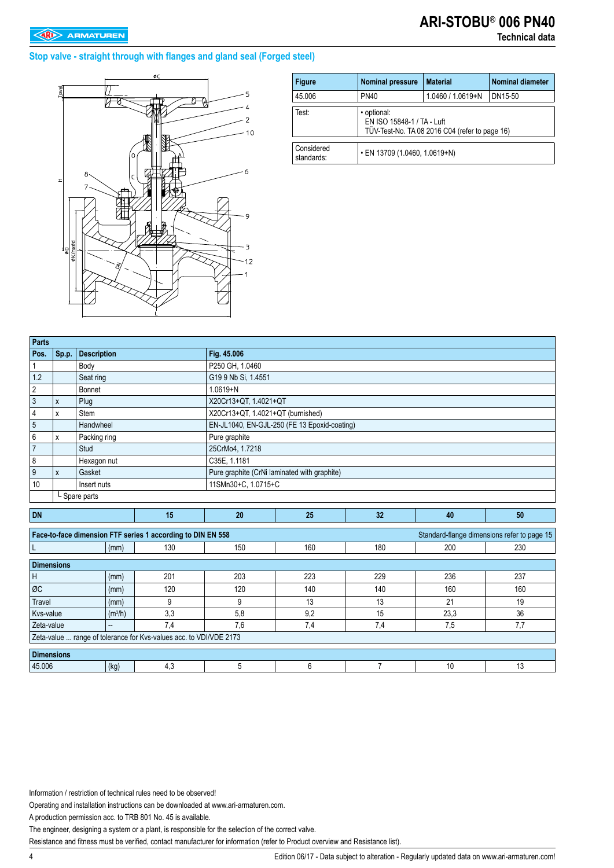#### **Stop valve - straight through with flanges and gland seal (Forged steel)**



| <b>Figure</b>            | <b>Nominal pressure</b>                                                                     | <b>Material</b> | <b>Nominal diameter</b> |  |  |  |  |  |
|--------------------------|---------------------------------------------------------------------------------------------|-----------------|-------------------------|--|--|--|--|--|
| 45.006                   | <b>PN40</b>                                                                                 | DN15-50         |                         |  |  |  |  |  |
| Test:                    | · optional:<br>EN ISO 15848-1 / TA - Luft<br>TÜV-Test-No. TA 08 2016 C04 (refer to page 16) |                 |                         |  |  |  |  |  |
| Considered<br>standards: | • EN 13709 (1.0460, 1.0619+N)                                                               |                 |                         |  |  |  |  |  |

| <b>Parts</b>      |                   |                    |                     |                                                                    |                     |                                              |     |      |                                             |  |  |  |  |
|-------------------|-------------------|--------------------|---------------------|--------------------------------------------------------------------|---------------------|----------------------------------------------|-----|------|---------------------------------------------|--|--|--|--|
| Pos.              | Sp.p.             | <b>Description</b> |                     |                                                                    | Fig. 45.006         |                                              |     |      |                                             |  |  |  |  |
| 1                 |                   | Body               |                     |                                                                    | P250 GH, 1.0460     |                                              |     |      |                                             |  |  |  |  |
| 1.2               |                   | Seat ring          |                     |                                                                    | G19 9 Nb Si, 1.4551 |                                              |     |      |                                             |  |  |  |  |
| 2                 |                   | Bonnet             |                     |                                                                    | $1.0619 + N$        |                                              |     |      |                                             |  |  |  |  |
| $\sqrt{3}$        | $\mathsf{x}$      | Plug               |                     |                                                                    |                     | X20Cr13+QT, 1.4021+QT                        |     |      |                                             |  |  |  |  |
| 4                 | X                 | Stem               |                     |                                                                    |                     | X20Cr13+QT, 1.4021+QT (burnished)            |     |      |                                             |  |  |  |  |
| $\sqrt{5}$        |                   | Handwheel          |                     |                                                                    |                     | EN-JL1040, EN-GJL-250 (FE 13 Epoxid-coating) |     |      |                                             |  |  |  |  |
| 6                 | Packing ring<br>X |                    |                     |                                                                    | Pure graphite       |                                              |     |      |                                             |  |  |  |  |
| $\overline{7}$    |                   | Stud               |                     |                                                                    | 25CrMo4, 1.7218     |                                              |     |      |                                             |  |  |  |  |
| 8                 |                   | Hexagon nut        |                     |                                                                    | C35E, 1.1181        |                                              |     |      |                                             |  |  |  |  |
| 9                 | X                 | Gasket             |                     |                                                                    |                     | Pure graphite (CrNi laminated with graphite) |     |      |                                             |  |  |  |  |
| 10                |                   | Insert nuts        |                     |                                                                    | 11SMn30+C, 1.0715+C |                                              |     |      |                                             |  |  |  |  |
|                   | L Spare parts     |                    |                     |                                                                    |                     |                                              |     |      |                                             |  |  |  |  |
|                   |                   |                    |                     |                                                                    |                     |                                              |     |      |                                             |  |  |  |  |
|                   |                   |                    |                     |                                                                    |                     |                                              |     |      |                                             |  |  |  |  |
| <b>DN</b>         |                   |                    |                     | 15                                                                 | 20                  | 25                                           | 32  | 40   | 50                                          |  |  |  |  |
|                   |                   |                    |                     | Face-to-face dimension FTF series 1 according to DIN EN 558        |                     |                                              |     |      | Standard-flange dimensions refer to page 15 |  |  |  |  |
|                   |                   |                    | (mm)                | 130                                                                | 150                 | 160                                          | 180 | 200  | 230                                         |  |  |  |  |
|                   |                   |                    |                     |                                                                    |                     |                                              |     |      |                                             |  |  |  |  |
| <b>Dimensions</b> |                   |                    |                     |                                                                    |                     |                                              |     |      |                                             |  |  |  |  |
| Η                 |                   |                    | (mm)                | 201                                                                | 203                 | 223                                          | 229 | 236  | 237                                         |  |  |  |  |
| ØC                |                   |                    | (mm)                | 120                                                                | 120                 | 140                                          | 140 | 160  | 160                                         |  |  |  |  |
| Travel            |                   |                    | (mm)                | 9                                                                  | 9                   | 13                                           | 13  | 21   | 19                                          |  |  |  |  |
| Kvs-value         |                   |                    | (m <sup>3</sup> /h) | 3,3                                                                | 5,8                 | 9,2                                          | 15  | 23,3 | 36                                          |  |  |  |  |
| Zeta-value        |                   | --                 |                     | 7,4                                                                | 7,6                 | 7,4                                          | 7,4 | 7,5  | 7,7                                         |  |  |  |  |
|                   |                   |                    |                     | Zeta-value  range of tolerance for Kvs-values acc. to VDI/VDE 2173 |                     |                                              |     |      |                                             |  |  |  |  |
| <b>Dimensions</b> |                   |                    |                     |                                                                    |                     |                                              |     |      |                                             |  |  |  |  |

Information / restriction of technical rules need to be observed!

Operating and installation instructions can be downloaded at www.ari-armaturen.com.

A production permission acc. to TRB 801 No. 45 is available.

The engineer, designing a system or a plant, is responsible for the selection of the correct valve.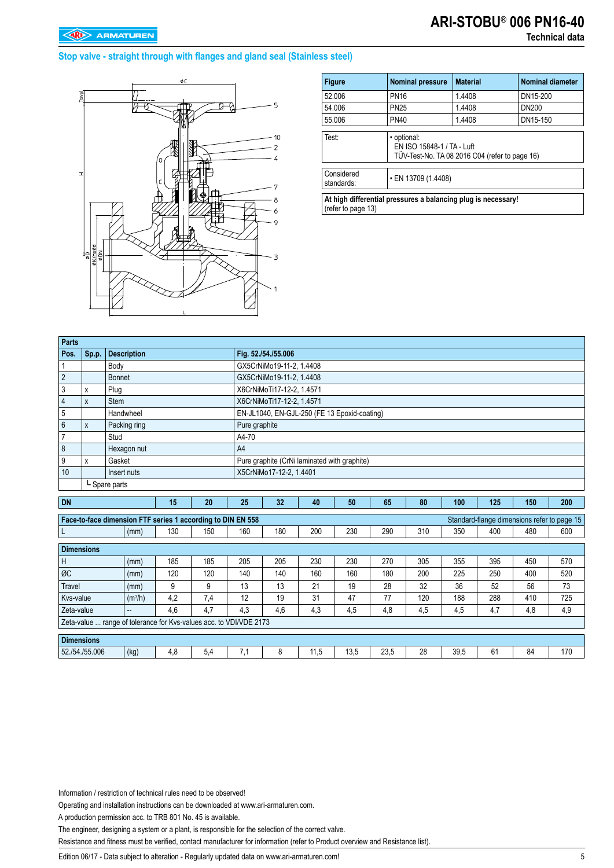#### **Stop valve - straight through with flanges and gland seal (Stainless steel)**



| <b>Figure</b>                                                                       | <b>Nominal pressure</b>                                                                     | <b>Material</b>    | <b>Nominal diameter</b> |  |  |  |  |  |
|-------------------------------------------------------------------------------------|---------------------------------------------------------------------------------------------|--------------------|-------------------------|--|--|--|--|--|
| 52.006                                                                              | <b>PN16</b>                                                                                 | 1.4408             | DN15-200                |  |  |  |  |  |
| 54.006                                                                              | <b>PN25</b>                                                                                 | 1.4408             | DN200                   |  |  |  |  |  |
| 55.006                                                                              | <b>PN40</b>                                                                                 | 1.4408<br>DN15-150 |                         |  |  |  |  |  |
| Test:                                                                               | · optional:<br>EN ISO 15848-1 / TA - Luft<br>TÜV-Test-No. TA 08 2016 C04 (refer to page 16) |                    |                         |  |  |  |  |  |
| Considered<br>• EN 13709 (1.4408)<br>standards:                                     |                                                                                             |                    |                         |  |  |  |  |  |
| At high differential pressures a balancing plug is necessary!<br>(refer to page 13) |                                                                                             |                    |                         |  |  |  |  |  |

| <b>Parts</b>   |                  |                    |    |    |               |                                              |    |                                              |    |    |     |     |     |     |
|----------------|------------------|--------------------|----|----|---------------|----------------------------------------------|----|----------------------------------------------|----|----|-----|-----|-----|-----|
| Pos.           | $\mathsf{Sp.p.}$ | <b>Description</b> |    |    |               | Fig. 52./54./55.006                          |    |                                              |    |    |     |     |     |     |
|                |                  | Body               |    |    |               | GX5CrNiMo19-11-2, 1.4408                     |    |                                              |    |    |     |     |     |     |
| $\overline{2}$ |                  | <b>Bonnet</b>      |    |    |               | GX5CrNiMo19-11-2, 1.4408                     |    |                                              |    |    |     |     |     |     |
|                | x                | Plug               |    |    |               | X6CrNiMoTi17-12-2, 1.4571                    |    |                                              |    |    |     |     |     |     |
|                | X                | <b>Stem</b>        |    |    |               | X6CrNiMoTi17-12-2, 1.4571                    |    |                                              |    |    |     |     |     |     |
| 5              |                  | Handwheel          |    |    |               | EN-JL1040, EN-GJL-250 (FE 13 Epoxid-coating) |    |                                              |    |    |     |     |     |     |
| 6              | X                | Packing ring       |    |    | Pure graphite |                                              |    |                                              |    |    |     |     |     |     |
|                |                  | Stud               |    |    | A4-70         |                                              |    |                                              |    |    |     |     |     |     |
| 8              |                  | Hexagon nut        |    |    | A4            |                                              |    |                                              |    |    |     |     |     |     |
| 9              | x                | Gasket             |    |    |               |                                              |    | Pure graphite (CrNi laminated with graphite) |    |    |     |     |     |     |
| 10             |                  | Insert nuts        |    |    |               | X5CrNiMo17-12-2, 1.4401                      |    |                                              |    |    |     |     |     |     |
| L Spare parts  |                  |                    |    |    |               |                                              |    |                                              |    |    |     |     |     |     |
| <b>DN</b>      |                  |                    | 15 | 20 | 25            | 32                                           | 40 | 50                                           | 65 | 80 | 100 | 125 | 150 | 200 |

| .                                                                                                          |                     | $\cdot$ | --  | $-0$ | $\cdots$ | <b>TV</b> | vv.  | w    | vv. |      | $-0$ |     | $-00$ |
|------------------------------------------------------------------------------------------------------------|---------------------|---------|-----|------|----------|-----------|------|------|-----|------|------|-----|-------|
| Face-to-face dimension FTF series 1 according to DIN EN 558<br>Standard-flange dimensions refer to page 15 |                     |         |     |      |          |           |      |      |     |      |      |     |       |
|                                                                                                            | (mm)                | 130     | 150 | 160  | 180      | 200       | 230  | 290  | 310 | 350  | 400  | 480 | 600   |
| <b>Dimensions</b>                                                                                          |                     |         |     |      |          |           |      |      |     |      |      |     |       |
| H                                                                                                          | (mm)                | 185     | 185 | 205  | 205      | 230       | 230  | 270  | 305 | 355  | 395  | 450 | 570   |
| ØC                                                                                                         | (mm)                | 120     | 120 | 140  | 140      | 160       | 160  | 180  | 200 | 225  | 250  | 400 | 520   |
| <b>Travel</b>                                                                                              | (mm)                | 9       | 9   | 13   | 13       | 21        | 19   | 28   | 32  | 36   | 52   | 56  | 73    |
| Kys-value                                                                                                  | (m <sup>3</sup> /h) | 4,2     | 7.4 | 12   | 19       | 31        | 47   | 77   | 120 | 188  | 288  | 410 | 725   |
| Zeta-value                                                                                                 | $- -$               | 4.6     | 4.7 | 4.3  | 4.6      | 4,3       | 4,5  | 4,8  | 4,5 | 4,5  | 4,7  | 4,8 | 4,9   |
| Zeta-value  range of tolerance for Kvs-values acc. to VDI/VDE 2173                                         |                     |         |     |      |          |           |      |      |     |      |      |     |       |
| <b>Dimensions</b>                                                                                          |                     |         |     |      |          |           |      |      |     |      |      |     |       |
| 52./54./55.006                                                                                             | (kg)                | 4,8     | 5,4 | 7,1  | 8        | 11,5      | 13,5 | 23,5 | 28  | 39,5 | 61   | 84  | 170   |

Information / restriction of technical rules need to be observed!

Operating and installation instructions can be downloaded at www.ari-armaturen.com.

A production permission acc. to TRB 801 No. 45 is available.

The engineer, designing a system or a plant, is responsible for the selection of the correct valve.

Resistance and fitness must be verified, contact manufacturer for information (refer to Product overview and Resistance list).

Edition 06/17 - Data subject to alteration - Regularly updated data on www.ari-armaturen.com!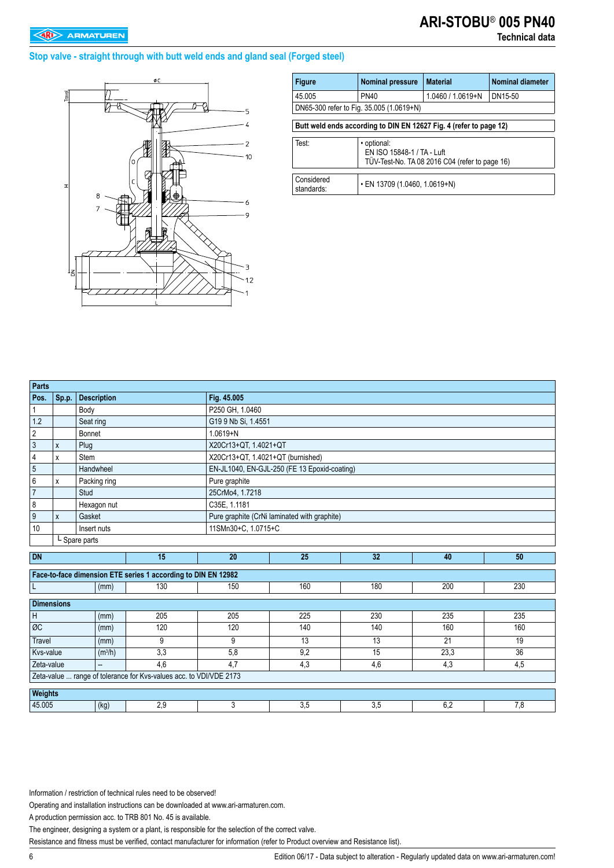#### **Stop valve - straight through with butt weld ends and gland seal (Forged steel)**



| <b>Figure</b>                                                      | <b>Nominal pressure</b>       | <b>Material</b>                                                              | <b>Nominal diameter</b> |  |  |  |  |  |  |  |
|--------------------------------------------------------------------|-------------------------------|------------------------------------------------------------------------------|-------------------------|--|--|--|--|--|--|--|
| 45.005                                                             | <b>PN40</b>                   | DN15-50<br>1.0460 / 1.0619+N                                                 |                         |  |  |  |  |  |  |  |
| DN65-300 refer to Fig. 35.005 (1.0619+N)                           |                               |                                                                              |                         |  |  |  |  |  |  |  |
| Butt weld ends according to DIN EN 12627 Fig. 4 (refer to page 12) |                               |                                                                              |                         |  |  |  |  |  |  |  |
| Test:                                                              | • optional:                   | EN ISO 15848-1 / TA - Luft<br>TÜV-Test-No. TA 08 2016 C04 (refer to page 16) |                         |  |  |  |  |  |  |  |
| Considered<br>standards:                                           | • EN 13709 (1.0460, 1.0619+N) |                                                                              |                         |  |  |  |  |  |  |  |

| Parts                                    |              |                     |                                                                    |                     |                                              |     |      |     |  |  |  |  |
|------------------------------------------|--------------|---------------------|--------------------------------------------------------------------|---------------------|----------------------------------------------|-----|------|-----|--|--|--|--|
| Pos.                                     | Sp.p.        | <b>Description</b>  |                                                                    | Fig. 45.005         |                                              |     |      |     |  |  |  |  |
| 1                                        |              | Body                |                                                                    | P250 GH, 1.0460     |                                              |     |      |     |  |  |  |  |
| 1.2                                      |              | Seat ring           |                                                                    | G19 9 Nb Si, 1.4551 |                                              |     |      |     |  |  |  |  |
| $\overline{c}$                           |              | Bonnet              |                                                                    | $1.0619 + N$        |                                              |     |      |     |  |  |  |  |
| $\mathbf{3}$                             | $\pmb{\chi}$ | Plug                |                                                                    |                     | X20Cr13+QT, 1.4021+QT                        |     |      |     |  |  |  |  |
| 4                                        | X            | <b>Stem</b>         |                                                                    |                     | X20Cr13+QT, 1.4021+QT (burnished)            |     |      |     |  |  |  |  |
| $\overline{5}$                           |              | Handwheel           |                                                                    |                     | EN-JL1040, EN-GJL-250 (FE 13 Epoxid-coating) |     |      |     |  |  |  |  |
| $\,6\,$                                  | X            | Packing ring        |                                                                    | Pure graphite       |                                              |     |      |     |  |  |  |  |
| $\overline{7}$                           |              | Stud                |                                                                    | 25CrMo4, 1.7218     |                                              |     |      |     |  |  |  |  |
| $\bf 8$                                  |              | Hexagon nut         |                                                                    | C35E, 1.1181        |                                              |     |      |     |  |  |  |  |
| $\overline{9}$<br>Gasket<br>$\mathsf{x}$ |              |                     |                                                                    |                     | Pure graphite (CrNi laminated with graphite) |     |      |     |  |  |  |  |
| 10                                       |              | Insert nuts         |                                                                    | 11SMn30+C, 1.0715+C |                                              |     |      |     |  |  |  |  |
|                                          |              | L Spare parts       |                                                                    |                     |                                              |     |      |     |  |  |  |  |
| <b>DN</b>                                |              |                     | 15                                                                 | 20                  | 25                                           | 32  | 40   | 50  |  |  |  |  |
|                                          |              |                     | Face-to-face dimension ETE series 1 according to DIN EN 12982      |                     |                                              |     |      |     |  |  |  |  |
| ΙL                                       |              | (mm)                | 130                                                                | 150                 | 160                                          | 180 | 200  | 230 |  |  |  |  |
| <b>Dimensions</b>                        |              |                     |                                                                    |                     |                                              |     |      |     |  |  |  |  |
| $\mathsf H$                              |              | (mm)                | 205                                                                | 205                 | 225                                          | 230 | 235  | 235 |  |  |  |  |
| ØC                                       |              | (mm)                | 120                                                                | 120                 | 140                                          | 140 | 160  | 160 |  |  |  |  |
| <b>Travel</b>                            |              | (mm)                | 9                                                                  | 9                   | 13                                           | 13  | 21   | 19  |  |  |  |  |
| Kvs-value                                |              | (m <sup>3</sup> /h) | 3,3                                                                | 5,8                 | 9,2                                          | 15  | 23,3 | 36  |  |  |  |  |
| Zeta-value                               |              | −                   | 4,6                                                                | 4,7                 | 4,3                                          | 4,6 | 4,3  | 4,5 |  |  |  |  |
|                                          |              |                     | Zeta-value  range of tolerance for Kvs-values acc. to VDI/VDE 2173 |                     |                                              |     |      |     |  |  |  |  |
| <b>Weights</b>                           |              |                     |                                                                    |                     |                                              |     |      |     |  |  |  |  |
| 45.005                                   |              | (kg)                | 2,9                                                                | 3                   | 3,5                                          | 3,5 | 6,2  | 7,8 |  |  |  |  |

Information / restriction of technical rules need to be observed!

Operating and installation instructions can be downloaded at www.ari-armaturen.com.

A production permission acc. to TRB 801 No. 45 is available.

The engineer, designing a system or a plant, is responsible for the selection of the correct valve.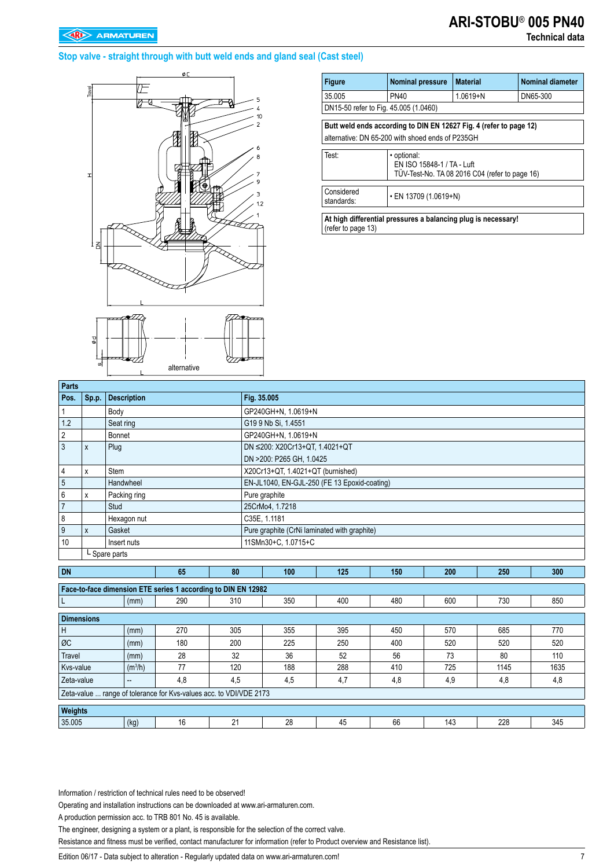### **Technical data**

#### **Stop valve - straight through with butt weld ends and gland seal (Cast steel)**



| <b>Figure</b>                                                                                                          | <b>Nominal pressure</b>                                                                     | <b>Material</b> | <b>Nominal diameter</b> |  |  |  |  |  |  |  |
|------------------------------------------------------------------------------------------------------------------------|---------------------------------------------------------------------------------------------|-----------------|-------------------------|--|--|--|--|--|--|--|
| 35.005                                                                                                                 | <b>PN40</b>                                                                                 | $1.0619 + N$    | DN65-300                |  |  |  |  |  |  |  |
| DN15-50 refer to Fig. 45.005 (1.0460)                                                                                  |                                                                                             |                 |                         |  |  |  |  |  |  |  |
| Butt weld ends according to DIN EN 12627 Fig. 4 (refer to page 12)<br>alternative: DN 65-200 with shoed ends of P235GH |                                                                                             |                 |                         |  |  |  |  |  |  |  |
| Test:                                                                                                                  | • optional:<br>EN ISO 15848-1 / TA - Luft<br>TÜV-Test-No. TA 08 2016 C04 (refer to page 16) |                 |                         |  |  |  |  |  |  |  |
| Considered<br>• EN 13709 (1.0619+N)<br>standards:                                                                      |                                                                                             |                 |                         |  |  |  |  |  |  |  |
|                                                                                                                        |                                                                                             |                 |                         |  |  |  |  |  |  |  |

**At high differential pressures a balancing plug is necessary!**  (refer to page 13)

| Parts             |              |                     |                                                                    |     |             |                                              |     |     |     |      |      |
|-------------------|--------------|---------------------|--------------------------------------------------------------------|-----|-------------|----------------------------------------------|-----|-----|-----|------|------|
| Pos.              | Sp.p.        | <b>Description</b>  |                                                                    |     | Fig. 35.005 |                                              |     |     |     |      |      |
| $\mathbf 1$       |              | Body                |                                                                    |     |             | GP240GH+N, 1.0619+N                          |     |     |     |      |      |
| 1.2               |              | Seat ring           |                                                                    |     |             | G19 9 Nb Si, 1.4551                          |     |     |     |      |      |
| $\overline{2}$    |              | Bonnet              |                                                                    |     |             | GP240GH+N. 1.0619+N                          |     |     |     |      |      |
| $\mathbf{3}$      | $\mathsf{x}$ | Plug                |                                                                    |     |             | DN ≤200: X20Cr13+QT, 1.4021+QT               |     |     |     |      |      |
|                   |              |                     |                                                                    |     |             | DN >200: P265 GH, 1.0425                     |     |     |     |      |      |
| $\overline{4}$    | X            | Stem                |                                                                    |     |             | X20Cr13+QT, 1.4021+QT (burnished)            |     |     |     |      |      |
| $\overline{5}$    |              | Handwheel           |                                                                    |     |             | EN-JL1040, EN-GJL-250 (FE 13 Epoxid-coating) |     |     |     |      |      |
| $\,6\,$           | X            | Packing ring        |                                                                    |     |             | Pure graphite                                |     |     |     |      |      |
| $\overline{7}$    |              | Stud                |                                                                    |     |             | 25CrMo4, 1.7218                              |     |     |     |      |      |
| 8                 |              | Hexagon nut         |                                                                    |     |             | C35E, 1.1181                                 |     |     |     |      |      |
| $\boldsymbol{9}$  | $\mathsf{x}$ | Gasket              |                                                                    |     |             | Pure graphite (CrNi laminated with graphite) |     |     |     |      |      |
| 10                |              | Insert nuts         |                                                                    |     |             | 11SMn30+C, 1.0715+C                          |     |     |     |      |      |
|                   |              | L Spare parts       |                                                                    |     |             |                                              |     |     |     |      |      |
| <b>DN</b>         |              |                     | 65                                                                 | 80  |             | 100                                          | 125 | 150 | 200 | 250  | 300  |
|                   |              |                     |                                                                    |     |             |                                              |     |     |     |      |      |
|                   |              |                     | Face-to-face dimension ETE series 1 according to DIN EN 12982      |     |             |                                              |     |     |     |      |      |
| L                 |              | (mm)                | 290                                                                | 310 |             | 350                                          | 400 | 480 | 600 | 730  | 850  |
| <b>Dimensions</b> |              |                     |                                                                    |     |             |                                              |     |     |     |      |      |
| H                 |              | (mm)                | 270                                                                | 305 |             | 355                                          | 395 | 450 | 570 | 685  | 770  |
| ØC                |              | (mm)                | 180                                                                | 200 |             | 225                                          | 250 | 400 | 520 | 520  | 520  |
| <b>Travel</b>     |              | (mm)                | 28                                                                 | 32  |             | 36                                           | 52  | 56  | 73  | 80   | 110  |
| Kvs-value         |              | (m <sup>3</sup> /h) | 77                                                                 | 120 |             | 188                                          | 288 | 410 | 725 | 1145 | 1635 |
| Zeta-value        |              | --                  | 4,8                                                                | 4.5 |             | 4,5                                          | 4,7 | 4,8 | 4,9 | 4,8  | 4,8  |
|                   |              |                     | Zeta-value  range of tolerance for Kvs-values acc. to VDI/VDE 2173 |     |             |                                              |     |     |     |      |      |
| Weights           |              |                     |                                                                    |     |             |                                              |     |     |     |      |      |
|                   |              |                     |                                                                    |     |             |                                              |     |     |     |      |      |
| 35.005            |              | (kg)                | 16                                                                 | 21  |             | 28                                           | 45  | 66  | 143 | 228  | 345  |

Information / restriction of technical rules need to be observed!

Operating and installation instructions can be downloaded at www.ari-armaturen.com.

A production permission acc. to TRB 801 No. 45 is available.

The engineer, designing a system or a plant, is responsible for the selection of the correct valve.

Resistance and fitness must be verified, contact manufacturer for information (refer to Product overview and Resistance list).

Edition 06/17 - Data subject to alteration - Regularly updated data on www.ari-armaturen.com!<br>7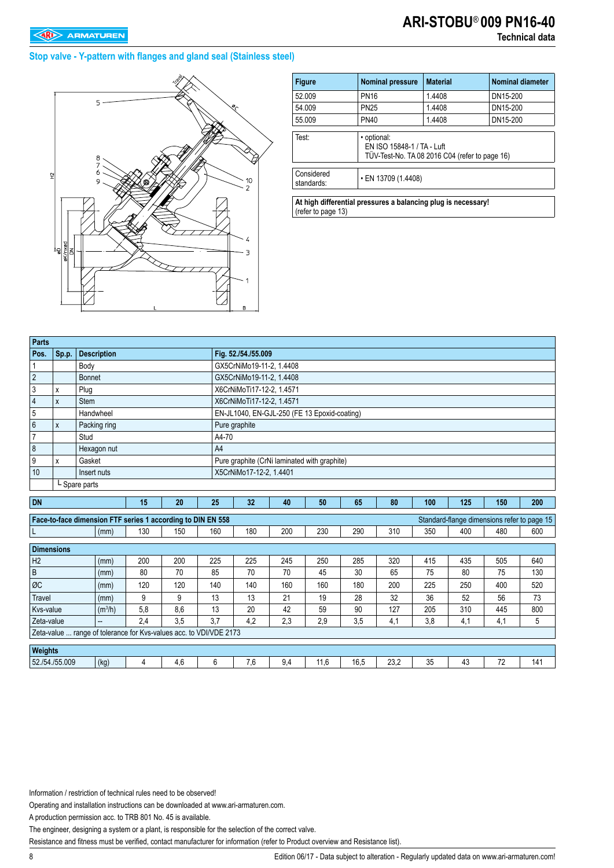#### **Stop valve - Y-pattern with flanges and gland seal (Stainless steel)**



| <b>Figure</b>            | <b>Nominal pressure</b>                   | <b>Material</b>                                | <b>Nominal diameter</b> |
|--------------------------|-------------------------------------------|------------------------------------------------|-------------------------|
| 52.009                   | <b>PN16</b>                               | 1.4408                                         | DN15-200                |
| 54.009                   | <b>PN25</b>                               | 1.4408                                         | DN15-200                |
| 55.009                   | <b>PN40</b>                               | 1.4408                                         | DN15-200                |
| Test:                    | · optional:<br>EN ISO 15848-1 / TA - Luft | TÜV-Test-No. TA 08 2016 C04 (refer to page 16) |                         |
| Considered<br>standards: | $\cdot$ EN 13709 (1.4408)                 |                                                |                         |

**At high differential pressures a balancing plug is necessary!**  (refer to page 13)

| Parts          |       |                                                             |    |    |       |                           |                                              |    |    |    |     |                                             |     |            |
|----------------|-------|-------------------------------------------------------------|----|----|-------|---------------------------|----------------------------------------------|----|----|----|-----|---------------------------------------------|-----|------------|
| Pos.           | Sp.p. | <b>Description</b>                                          |    |    |       | Fig. 52./54./55.009       |                                              |    |    |    |     |                                             |     |            |
|                |       | Body                                                        |    |    |       | GX5CrNiMo19-11-2, 1.4408  |                                              |    |    |    |     |                                             |     |            |
| $\overline{2}$ |       | Bonnet                                                      |    |    |       | GX5CrNiMo19-11-2, 1.4408  |                                              |    |    |    |     |                                             |     |            |
| 3              | X     | Plug                                                        |    |    |       | X6CrNiMoTi17-12-2. 1.4571 |                                              |    |    |    |     |                                             |     |            |
| 4              | X     | Stem                                                        |    |    |       | X6CrNiMoTi17-12-2, 1.4571 |                                              |    |    |    |     |                                             |     |            |
| 5              |       | Handwheel                                                   |    |    |       |                           | EN-JL1040, EN-GJL-250 (FE 13 Epoxid-coating) |    |    |    |     |                                             |     |            |
| 6              | X     | Packing ring                                                |    |    |       | Pure graphite             |                                              |    |    |    |     |                                             |     |            |
|                |       | Stud                                                        |    |    | A4-70 |                           |                                              |    |    |    |     |                                             |     |            |
| 8              |       | Hexagon nut                                                 |    |    | A4    |                           |                                              |    |    |    |     |                                             |     |            |
| 9              | X     | Gasket                                                      |    |    |       |                           | Pure graphite (CrNi laminated with graphite) |    |    |    |     |                                             |     |            |
| 10             |       | Insert nuts                                                 |    |    |       | X5CrNiMo17-12-2. 1.4401   |                                              |    |    |    |     |                                             |     |            |
|                |       | L Spare parts                                               |    |    |       |                           |                                              |    |    |    |     |                                             |     |            |
|                |       |                                                             |    |    |       |                           |                                              |    |    |    |     |                                             |     |            |
| <b>DN</b>      |       |                                                             | 15 | 20 | 25    | 32                        | 40                                           | 50 | 65 | 80 | 100 | 125                                         | 150 | <b>200</b> |
|                |       | Face-to-face dimension FTF series 1 according to DIN EN 558 |    |    |       |                           |                                              |    |    |    |     | Standard-flange dimensions refer to page 15 |     |            |

|                                                                                                                                                                                                                                                                                                                                                                                                                                                                                                                                                                                                                                                                                                                                                                                                                                                                                                 | (mm) | 130 | 150 | 160 | 180 | 200 | 230 | 290 | 310 | 350 | 400 | 480 | 600 |
|-------------------------------------------------------------------------------------------------------------------------------------------------------------------------------------------------------------------------------------------------------------------------------------------------------------------------------------------------------------------------------------------------------------------------------------------------------------------------------------------------------------------------------------------------------------------------------------------------------------------------------------------------------------------------------------------------------------------------------------------------------------------------------------------------------------------------------------------------------------------------------------------------|------|-----|-----|-----|-----|-----|-----|-----|-----|-----|-----|-----|-----|
| <b>Dimensions</b>                                                                                                                                                                                                                                                                                                                                                                                                                                                                                                                                                                                                                                                                                                                                                                                                                                                                               |      |     |     |     |     |     |     |     |     |     |     |     |     |
| Face-to-face dimension FTF series 1 according to DIN EN 558<br>Standard-flange dimensions refer to page 15<br>H <sub>2</sub><br>200<br>225<br>225<br>285<br>320<br>435<br>200<br>245<br>250<br>415<br>505<br>(mm)<br>B<br>80<br>70<br>45<br>30<br>65<br>80<br>70<br>85<br>70<br>75<br>75<br>(mm)<br>ØC<br>120<br>120<br>140<br>140<br>160<br>160<br>180<br>200<br>225<br>250<br>400<br>(mm)<br>36<br>13<br>13<br>19<br>28<br>32<br>52<br>56<br>Travel<br>9<br>21<br>9<br>(mm)<br>20<br>127<br>310<br>(m <sup>3</sup> /h)<br>5,8<br>8.6<br>13<br>42<br>59<br>90<br>205<br>445<br>Kys-value<br>3.5<br>3.7<br>4,2<br>2,3<br>2,9<br>3,5<br>2,4<br>3,8<br>4,1<br>Zeta-value<br>4,1<br>4,1<br>$\overline{\phantom{a}}$<br>Zeta-value  range of tolerance for Kys-values acc. to VDI/VDE 2173<br>Weights<br>(kg)<br>23,2<br>52./54./55.009<br>4.6<br>6<br>7.6<br>16.5<br>35<br>43<br>72<br>9,4<br>11.6 |      |     |     | 640 |     |     |     |     |     |     |     |     |     |
|                                                                                                                                                                                                                                                                                                                                                                                                                                                                                                                                                                                                                                                                                                                                                                                                                                                                                                 |      |     |     |     |     |     |     |     |     |     |     |     | 130 |
|                                                                                                                                                                                                                                                                                                                                                                                                                                                                                                                                                                                                                                                                                                                                                                                                                                                                                                 |      |     |     |     |     |     |     |     |     |     |     |     | 520 |
|                                                                                                                                                                                                                                                                                                                                                                                                                                                                                                                                                                                                                                                                                                                                                                                                                                                                                                 |      |     |     |     |     |     |     |     |     |     |     |     | 73  |
|                                                                                                                                                                                                                                                                                                                                                                                                                                                                                                                                                                                                                                                                                                                                                                                                                                                                                                 |      |     |     |     |     |     |     |     |     |     |     |     | 800 |
|                                                                                                                                                                                                                                                                                                                                                                                                                                                                                                                                                                                                                                                                                                                                                                                                                                                                                                 |      |     |     |     |     |     |     |     |     |     |     |     | 5   |
|                                                                                                                                                                                                                                                                                                                                                                                                                                                                                                                                                                                                                                                                                                                                                                                                                                                                                                 |      |     |     |     |     |     |     |     |     |     |     |     |     |
|                                                                                                                                                                                                                                                                                                                                                                                                                                                                                                                                                                                                                                                                                                                                                                                                                                                                                                 |      |     |     |     |     |     |     |     |     |     |     |     |     |
|                                                                                                                                                                                                                                                                                                                                                                                                                                                                                                                                                                                                                                                                                                                                                                                                                                                                                                 |      |     |     |     |     |     |     |     |     |     |     |     | 141 |

Information / restriction of technical rules need to be observed!

Operating and installation instructions can be downloaded at www.ari-armaturen.com.

A production permission acc. to TRB 801 No. 45 is available.

The engineer, designing a system or a plant, is responsible for the selection of the correct valve.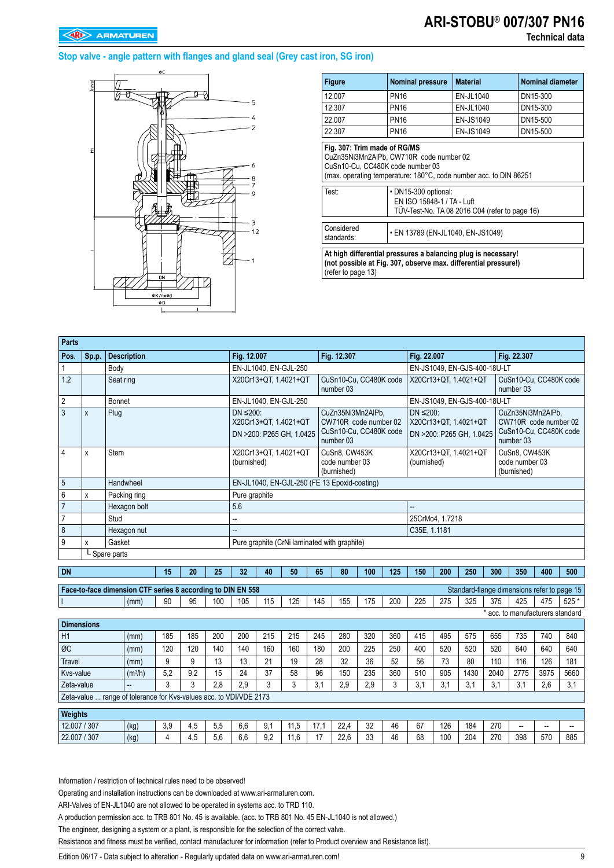## **ARI-STOBU**® **007/307 PN16 Technical data**

#### **Stop valve - angle pattern with flanges and gland seal (Grey cast iron, SG iron)**



| <b>Figure</b>                             | <b>Nominal pressure</b>                                                                                                                                            | <b>Material</b>                                | <b>Nominal diameter</b> |  |  |  |  |  |  |  |  |
|-------------------------------------------|--------------------------------------------------------------------------------------------------------------------------------------------------------------------|------------------------------------------------|-------------------------|--|--|--|--|--|--|--|--|
| 12.007                                    | <b>PN16</b>                                                                                                                                                        | EN-JL1040                                      | DN15-300                |  |  |  |  |  |  |  |  |
| 12.307                                    | <b>PN16</b>                                                                                                                                                        | EN-JL1040                                      | DN15-300                |  |  |  |  |  |  |  |  |
| 22.007                                    | <b>PN16</b>                                                                                                                                                        | <b>EN-JS1049</b>                               | DN15-500                |  |  |  |  |  |  |  |  |
| 22.307                                    | <b>PN16</b><br>EN-JS1049<br>DN15-500<br>Fig. 307: Trim made of RG/MS                                                                                               |                                                |                         |  |  |  |  |  |  |  |  |
| CuSn10-Cu, CC480K code number 03<br>Test: | CuZn35Ni3Mn2AIPb, CW710R code number 02<br>(max. operating temperature: 180°C, code number acc. to DIN 86251<br>• DN15-300 optional:<br>EN ISO 15848-1 / TA - Luft | TÜV-Test-No. TA 08 2016 C04 (refer to page 16) |                         |  |  |  |  |  |  |  |  |
| Considered<br>standards:                  | • EN 13789 (EN-JL1040, EN-JS1049)                                                                                                                                  |                                                |                         |  |  |  |  |  |  |  |  |
| (refer to page 13)                        | At high differential pressures a balancing plug is necessary!<br>(not possible at Fig. 307, observe max. differential pressure!)                                   |                                                |                         |  |  |  |  |  |  |  |  |

| <b>Parts</b>      |             |                                                                    |                     |     |     |     |                                          |     |                          |      |                                                                                   |     |     |                |                                                   |      |      |                                                                                   |                |       |
|-------------------|-------------|--------------------------------------------------------------------|---------------------|-----|-----|-----|------------------------------------------|-----|--------------------------|------|-----------------------------------------------------------------------------------|-----|-----|----------------|---------------------------------------------------|------|------|-----------------------------------------------------------------------------------|----------------|-------|
| Pos.              | Sp.p.       | <b>Description</b>                                                 |                     |     |     |     | Fig. 12.007                              |     |                          |      | Fig. 12.307                                                                       |     |     | Fig. 22.007    |                                                   |      |      | Fig. 22.307                                                                       |                |       |
| 1                 |             | Body                                                               |                     |     |     |     |                                          |     | EN-JL1040, EN-GJL-250    |      |                                                                                   |     |     |                | EN-JS1049, EN-GJS-400-18U-LT                      |      |      |                                                                                   |                |       |
| 1.2               |             | Seat ring                                                          |                     |     |     |     |                                          |     | X20Cr13+QT, 1.4021+QT    |      | CuSn10-Cu, CC480K code<br>number 03                                               |     |     |                | X20Cr13+QT, 1.4021+QT                             |      |      | CuSn10-Cu, CC480K code<br>number 03                                               |                |       |
| $\overline{2}$    |             | Bonnet                                                             |                     |     |     |     |                                          |     | EN-JL1040, EN-GJL-250    |      |                                                                                   |     |     |                | EN-JS1049, EN-GJS-400-18U-LT                      |      |      |                                                                                   |                |       |
| $\mathbf{3}$      | X           | Plug                                                               |                     |     |     |     | $DN \leq 200$ :<br>X20Cr13+QT, 1.4021+QT |     | DN >200: P265 GH, 1.0425 |      | CuZn35Ni3Mn2AlPb.<br>CW710R code number 02<br>CuSn10-Cu. CC480K code<br>number 03 |     |     | DN $\leq$ 200: | X20Cr13+QT, 1.4021+QT<br>DN >200: P265 GH, 1.0425 |      |      | CuZn35Ni3Mn2AlPb.<br>CW710R code number 02<br>CuSn10-Cu. CC480K code<br>number 03 |                |       |
| $\overline{4}$    | X           | Stem                                                               |                     |     |     |     | (burnished)                              |     | X20Cr13+QT. 1.4021+QT    |      | CuSn8. CW453K<br>code number 03<br>(burnished)                                    |     |     | (burnished)    | X20Cr13+QT. 1.4021+QT                             |      |      | CuSn8. CW453K<br>code number 03<br>(burnished)                                    |                |       |
| $\sqrt{5}$        |             | Handwheel                                                          |                     |     |     |     |                                          |     |                          |      | EN-JL1040, EN-GJL-250 (FE 13 Epoxid-coating)                                      |     |     |                |                                                   |      |      |                                                                                   |                |       |
| $6\phantom{1}6$   | X           | Packing ring                                                       |                     |     |     |     | Pure graphite                            |     |                          |      |                                                                                   |     |     |                |                                                   |      |      |                                                                                   |                |       |
| $\overline{7}$    |             | Hexagon bolt                                                       |                     |     |     |     | 5.6                                      |     |                          |      |                                                                                   |     |     |                |                                                   |      |      |                                                                                   |                |       |
| $\overline{7}$    |             | Stud                                                               |                     |     |     |     | н.                                       |     |                          |      |                                                                                   |     |     |                | 25CrMo4, 1.7218                                   |      |      |                                                                                   |                |       |
| 8                 | Hexagon nut |                                                                    |                     |     |     |     |                                          |     |                          |      |                                                                                   |     |     | C35E. 1.1181   |                                                   |      |      |                                                                                   |                |       |
| 9                 | Gasket<br>X |                                                                    |                     |     |     |     |                                          |     |                          |      | Pure graphite (CrNi laminated with graphite)                                      |     |     |                |                                                   |      |      |                                                                                   |                |       |
|                   |             | L Spare parts                                                      |                     |     |     |     |                                          |     |                          |      |                                                                                   |     |     |                |                                                   |      |      |                                                                                   |                |       |
| <b>DN</b>         |             |                                                                    |                     | 15  | 20  | 25  | 32                                       | 40  | 50                       | 65   | 80                                                                                | 100 | 125 | 150            | 200                                               | 250  | 300  | 350                                                                               | 400            | 500   |
|                   |             | Face-to-face dimension CTF series 8 according to DIN EN 558        |                     |     |     |     |                                          |     |                          |      |                                                                                   |     |     |                |                                                   |      |      | Standard-flange dimensions refer to page 15                                       |                |       |
|                   |             |                                                                    | (mm)                | 90  | 95  | 100 | 105                                      | 115 | 125                      | 145  | 155                                                                               | 175 | 200 | 225            | 275                                               | 325  | 375  | 425                                                                               | 475            | 525 * |
|                   |             |                                                                    |                     |     |     |     |                                          |     |                          |      |                                                                                   |     |     |                |                                                   |      |      | * acc. to manufacturers standard                                                  |                |       |
| <b>Dimensions</b> |             |                                                                    |                     |     |     |     |                                          |     |                          |      |                                                                                   |     |     |                |                                                   |      |      |                                                                                   |                |       |
| H1                |             |                                                                    | (mm)                | 185 | 185 | 200 | 200                                      | 215 | 215                      | 245  | 280                                                                               | 320 | 360 | 415            | 495                                               | 575  | 655  | 735                                                                               | 740            | 840   |
| ØC                |             |                                                                    | (mm)                | 120 | 120 | 140 | 140                                      | 160 | 160                      | 180  | 200                                                                               | 225 | 250 | 400            | 520                                               | 520  | 520  | 640                                                                               | 640            | 640   |
| Travel            |             |                                                                    | (mm)                | 9   | 9   | 13  | 13                                       | 21  | 19                       | 28   | 32                                                                                | 36  | 52  | 56             | 73                                                | 80   | 110  | 116                                                                               | 126            | 181   |
| Kvs-value         |             |                                                                    | (m <sup>3</sup> /h) | 5,2 | 9,2 | 15  | 24                                       | 37  | 58                       | 96   | 150                                                                               | 235 | 360 | 510            | 905                                               | 1430 | 2040 | 2775                                                                              | 3975           | 5660  |
| Zeta-value        |             |                                                                    |                     | 3   | 3   | 2.8 | 2.9                                      | 3   | 3                        | 3.1  | 2.9                                                                               | 2,9 | 3   | 3.1            | 3.1                                               | 3,1  | 3.1  | 3,1                                                                               | 2.6            | 3,1   |
|                   |             | Zeta-value  range of tolerance for Kvs-values acc. to VDI/VDE 2173 |                     |     |     |     |                                          |     |                          |      |                                                                                   |     |     |                |                                                   |      |      |                                                                                   |                |       |
| Weights           |             |                                                                    |                     |     |     |     |                                          |     |                          |      |                                                                                   |     |     |                |                                                   |      |      |                                                                                   |                |       |
| 12.007 / 307      |             | (kg)                                                               |                     | 3,9 | 4,5 | 5,5 | 6,6                                      | 9,1 | 11,5                     | 17,1 | 22,4                                                                              | 32  | 46  | 67             | 126                                               | 184  | 270  | $\overline{\phantom{a}}$                                                          | $\overline{a}$ |       |
| 22.007 / 307      |             | (kg)                                                               |                     | 4   | 4.5 | 5.6 | 6,6                                      | 9.2 | 11.6                     | 17   | 22,6                                                                              | 33  | 46  | 68             | 100                                               | 204  | 270  | 398                                                                               | 570            | 885   |
|                   |             |                                                                    |                     |     |     |     |                                          |     |                          |      |                                                                                   |     |     |                |                                                   |      |      |                                                                                   |                |       |

Information / restriction of technical rules need to be observed!

Operating and installation instructions can be downloaded at www.ari-armaturen.com.

ARI-Valves of EN-JL1040 are not allowed to be operated in systems acc. to TRD 110.

A production permission acc. to TRB 801 No. 45 is available. (acc. to TRB 801 No. 45 EN-JL1040 is not allowed.)

The engineer, designing a system or a plant, is responsible for the selection of the correct valve.

Resistance and fitness must be verified, contact manufacturer for information (refer to Product overview and Resistance list).

Edition 06/17 - Data subject to alteration - Regularly updated data on www.ari-armaturen.com! 9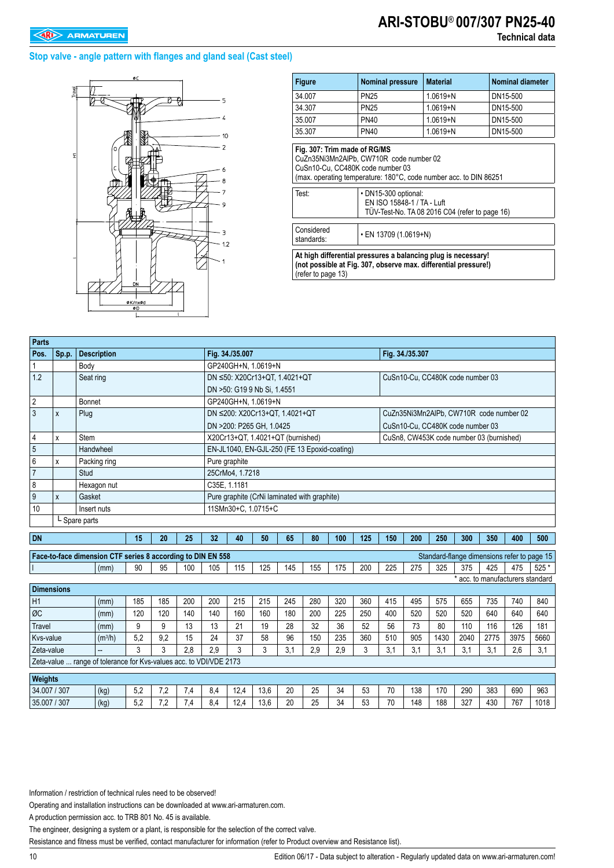# **ARI-STOBU**® **007/307 PN25-40**

### **Stop valve - angle pattern with flanges and gland seal (Cast steel)**



| <b>Figure</b>                                                             | <b>Nominal pressure</b>                                                                       | <b>Material</b>                                                                                                                  | <b>Nominal diameter</b> |
|---------------------------------------------------------------------------|-----------------------------------------------------------------------------------------------|----------------------------------------------------------------------------------------------------------------------------------|-------------------------|
| 34.007                                                                    | <b>PN25</b>                                                                                   | $1.0619 + N$                                                                                                                     | DN15-500                |
| 34.307                                                                    | <b>PN25</b>                                                                                   | $1.0619 + N$                                                                                                                     | DN15-500                |
| 35.007                                                                    | <b>PN40</b>                                                                                   | $1.0619 + N$                                                                                                                     | DN15-500                |
| 35.307                                                                    | <b>PN40</b>                                                                                   | $1.0619 + N$                                                                                                                     | DN15-500                |
| Fig. 307: Trim made of RG/MS<br>CuSn10-Cu, CC480K code number 03<br>Test: | CuZn35Ni3Mn2AIPb, CW710R code number 02<br>· DN15-300 optional:<br>EN ISO 15848-1 / TA - Luft | (max. operating temperature: 180°C, code number acc. to DIN 86251<br>TÜV-Test-No. TA 08 2016 C04 (refer to page 16)              |                         |
| Considered<br>standards:                                                  | • EN 13709 (1.0619+N)                                                                         |                                                                                                                                  |                         |
| (refer to page 13)                                                        |                                                                                               | At high differential pressures a balancing plug is necessary!<br>(not possible at Fig. 307, observe max. differential pressure!) |                         |

| <b>Parts</b>      |                             |                                                                    |           |     |     |     |     |                 |                                              |     |     |     |     |     |                 |      |                                          |      |                                             |        |
|-------------------|-----------------------------|--------------------------------------------------------------------|-----------|-----|-----|-----|-----|-----------------|----------------------------------------------|-----|-----|-----|-----|-----|-----------------|------|------------------------------------------|------|---------------------------------------------|--------|
| Pos.              | Sp.p.                       | <b>Description</b>                                                 |           |     |     |     |     | Fig. 34./35.007 |                                              |     |     |     |     |     | Fig. 34./35.307 |      |                                          |      |                                             |        |
|                   |                             | Body                                                               |           |     |     |     |     |                 | GP240GH+N, 1.0619+N                          |     |     |     |     |     |                 |      |                                          |      |                                             |        |
| 1.2               |                             | Seat ring                                                          |           |     |     |     |     |                 | DN ≤50: X20Cr13+QT, 1.4021+QT                |     |     |     |     |     |                 |      | CuSn10-Cu, CC480K code number 03         |      |                                             |        |
|                   |                             |                                                                    |           |     |     |     |     |                 | DN >50: G19 9 Nb Si, 1.4551                  |     |     |     |     |     |                 |      |                                          |      |                                             |        |
| $\overline{2}$    |                             | <b>Bonnet</b>                                                      |           |     |     |     |     |                 | GP240GH+N, 1.0619+N                          |     |     |     |     |     |                 |      |                                          |      |                                             |        |
| 3                 | Χ                           | Plug                                                               |           |     |     |     |     |                 | DN ≤200: X20Cr13+QT, 1.4021+QT               |     |     |     |     |     |                 |      | CuZn35Ni3Mn2AlPb, CW710R code number 02  |      |                                             |        |
|                   |                             |                                                                    |           |     |     |     |     |                 | DN >200: P265 GH, 1.0425                     |     |     |     |     |     |                 |      | CuSn10-Cu, CC480K code number 03         |      |                                             |        |
| 4                 | X                           | Stem                                                               |           |     |     |     |     |                 | X20Cr13+QT, 1.4021+QT (burnished)            |     |     |     |     |     |                 |      | CuSn8, CW453K code number 03 (burnished) |      |                                             |        |
| 5                 |                             | Handwheel                                                          |           |     |     |     |     |                 | EN-JL1040, EN-GJL-250 (FE 13 Epoxid-coating) |     |     |     |     |     |                 |      |                                          |      |                                             |        |
| 6                 | X                           | Packing ring                                                       |           |     |     |     |     | Pure graphite   |                                              |     |     |     |     |     |                 |      |                                          |      |                                             |        |
| $\overline{7}$    |                             | Stud                                                               |           |     |     |     |     | 25CrMo4, 1.7218 |                                              |     |     |     |     |     |                 |      |                                          |      |                                             |        |
| 8                 |                             | Hexagon nut                                                        |           |     |     |     |     | C35E. 1.1181    |                                              |     |     |     |     |     |                 |      |                                          |      |                                             |        |
| 9                 | Gasket<br>X                 |                                                                    |           |     |     |     |     |                 | Pure graphite (CrNi laminated with graphite) |     |     |     |     |     |                 |      |                                          |      |                                             |        |
| 10                |                             | Insert nuts                                                        |           |     |     |     |     |                 | 11SMn30+C. 1.0715+C                          |     |     |     |     |     |                 |      |                                          |      |                                             |        |
|                   |                             | L Spare parts                                                      |           |     |     |     |     |                 |                                              |     |     |     |     |     |                 |      |                                          |      |                                             |        |
| <b>DN</b>         |                             |                                                                    |           | 15  | 20  | 25  | 32  | 40              | 50                                           | 65  | 80  | 100 | 125 | 150 | 200             | 250  | 300                                      | 350  | 400                                         | 500    |
|                   |                             |                                                                    |           |     |     |     |     |                 |                                              |     |     |     |     |     |                 |      |                                          |      |                                             |        |
|                   |                             | Face-to-face dimension CTF series 8 according to DIN EN 558        |           |     |     |     |     |                 |                                              |     |     |     |     |     |                 |      |                                          |      | Standard-flange dimensions refer to page 15 |        |
|                   |                             |                                                                    | (mm)      | 90  | 95  | 100 | 105 | 115             | 125                                          | 145 | 155 | 175 | 200 | 225 | 275             | 325  | 375                                      | 425  | 475                                         | $525*$ |
| <b>Dimensions</b> |                             |                                                                    |           |     |     |     |     |                 |                                              |     |     |     |     |     |                 |      |                                          |      | * acc. to manufacturers standard            |        |
| H1                |                             |                                                                    | (mm)      | 185 | 185 | 200 | 200 | 215             | 215                                          | 245 | 280 | 320 | 360 | 415 | 495             | 575  | 655                                      | 735  | 740                                         | 840    |
| ØC                |                             |                                                                    | (mm)      | 120 | 120 | 140 | 140 | 160             | 160                                          | 180 | 200 | 225 | 250 | 400 | 520             | 520  | 520                                      | 640  | 640                                         | 640    |
| Travel            |                             |                                                                    | (mm)      | 9   | 9   | 13  | 13  | 21              | 19                                           | 28  | 32  | 36  | 52  | 56  | 73              | 80   | 110                                      | 116  | 126                                         | 181    |
| Kvs-value         |                             |                                                                    | $(m^3/h)$ | 5,2 | 9,2 | 15  | 24  | 37              | 58                                           | 96  | 150 | 235 | 360 | 510 | 905             | 1430 | 2040                                     | 2775 | 3975                                        | 5660   |
|                   | 3<br>3<br>2.8<br>Zeta-value |                                                                    |           |     |     |     | 2.9 | 3               | 3                                            | 3.1 | 2.9 | 2.9 | 3   | 3,1 | 3.1             | 3,1  | 3,1                                      | 3,1  | 2.6                                         | 3,1    |
|                   |                             | Zeta-value  range of tolerance for Kvs-values acc. to VDI/VDE 2173 |           |     |     |     |     |                 |                                              |     |     |     |     |     |                 |      |                                          |      |                                             |        |
|                   |                             |                                                                    |           |     |     |     |     |                 |                                              |     |     |     |     |     |                 |      |                                          |      |                                             |        |
| Weights           |                             |                                                                    |           |     |     |     |     |                 |                                              |     |     |     |     |     |                 |      |                                          |      |                                             |        |
| 34.007 / 307      |                             |                                                                    | (kg)      | 5,2 | 7,2 | 7,4 | 8.4 | 12,4            | 13,6                                         | 20  | 25  | 34  | 53  | 70  | 138             | 170  | 290                                      | 383  | 690                                         | 963    |

35.007 / 307 (kg) 5,2 7,2 7,4 8,4 12,4 13,6 20 25 34 53 70 148 188 327 430 767 1018

Information / restriction of technical rules need to be observed!

Operating and installation instructions can be downloaded at www.ari-armaturen.com.

A production permission acc. to TRB 801 No. 45 is available.

The engineer, designing a system or a plant, is responsible for the selection of the correct valve.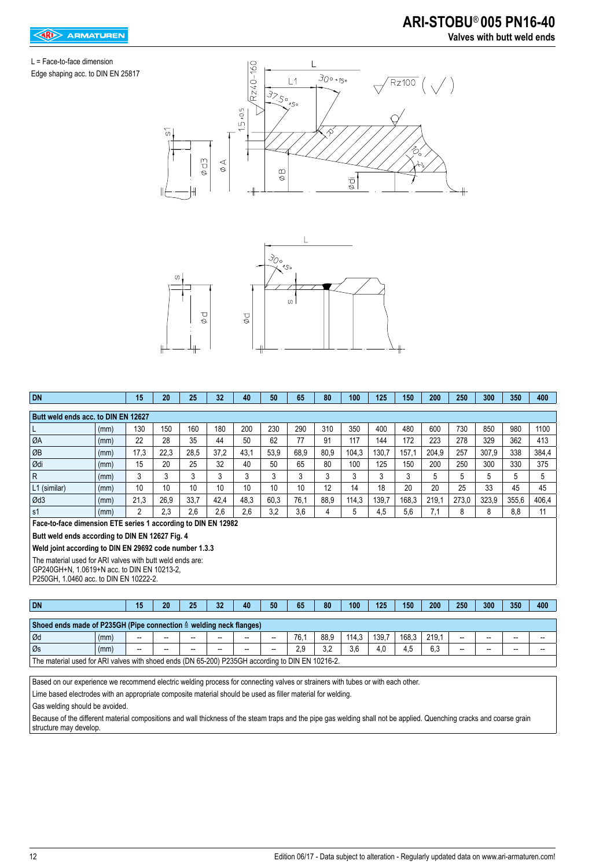## L = Face-to-face dimension

Edge shaping acc. to DIN EN 25817





| <b>DN</b>                                                     |      | 15   | 20   | 25   | 32              | 40   | 50   | 65   | 80   | 100   | 125   | 150   | 200   | 250   | 300   | 350   | 400   |
|---------------------------------------------------------------|------|------|------|------|-----------------|------|------|------|------|-------|-------|-------|-------|-------|-------|-------|-------|
| Butt weld ends acc. to DIN EN 12627                           |      |      |      |      |                 |      |      |      |      |       |       |       |       |       |       |       |       |
| L                                                             | (mm) | 130  | 150  | 160  | 180             | 200  | 230  | 290  | 310  | 350   | 400   | 480   | 600   | 730   | 850   | 980   | 1100  |
| ØA                                                            | (mm) | 22   | 28   | 35   | 44              | 50   | 62   | 77   | 91   | 117   | 144   | 172   | 223   | 278   | 329   | 362   | 413   |
| ØB                                                            | (mm) | 17,3 | 22,3 | 28,5 | 37,2            | 43,1 | 53,9 | 68,9 | 80,9 | 104,3 | 130,7 | 157,1 | 204.9 | 257   | 307,9 | 338   | 384,4 |
| Ødi                                                           | (mm) | 15   | 20   | 25   | 32              | 40   | 50   | 65   | 80   | 100   | 125   | 150   | 200   | 250   | 300   | 330   | 375   |
| R                                                             | (mm) | 3    | 3    | 3    | 3               | 3    | 3    | 3    | 3    | 3     | 3     | 3     | 5     | 5     | 5     | 5.    | 5     |
| L1 (similar)                                                  | (mm) | 10   | 10   | 10   | 10 <sup>1</sup> | 10   | 10   | 10   | 12   | 14    | 18    | 20    | 20    | 25    | 33    | 45    | 45    |
| Ød3                                                           | (mm) | 21,3 | 26,9 | 33,7 | 42,4            | 48,3 | 60.3 | 76,1 | 88,9 | 114.3 | 139,7 | 168,3 | 219,1 | 273,0 | 323,9 | 355,6 | 406,4 |
| s <sub>1</sub>                                                | (mm) | 2    | 2.3  | 2.6  | 2.6             | 2.6  | 3.2  | 3,6  | 4    | 5     | 4,5   | 5,6   | 7,1   | 8     | 8     | 8,8   | 11    |
| Face-to-face dimension ETE series 1 according to DIN EN 12982 |      |      |      |      |                 |      |      |      |      |       |       |       |       |       |       |       |       |
| Butt weld ends according to DIN EN 12627 Fig. 4               |      |      |      |      |                 |      |      |      |      |       |       |       |       |       |       |       |       |
| Weld joint according to DIN EN 29692 code number 1.3.3        |      |      |      |      |                 |      |      |      |      |       |       |       |       |       |       |       |       |
| The material used for ARI valves with butt weld ends are:     |      |      |      |      |                 |      |      |      |      |       |       |       |       |       |       |       |       |
| GP240GH+N, 1.0619+N acc. to DIN EN 10213-2,                   |      |      |      |      |                 |      |      |      |      |       |       |       |       |       |       |       |       |
| P250GH, 1.0460 acc. to DIN EN 10222-2.                        |      |      |      |      |                 |      |      |      |      |       |       |       |       |       |       |       |       |
|                                                               |      |      |      |      |                 |      |      |      |      |       |       |       |       |       |       |       |       |

| Shoed ends made of P235GH (Pipe connection $\triangleq$ welding neck flanges)                    |      |       |    |       |    |                          |                          |            |      |       |       |       |       |       |    |    |    |
|--------------------------------------------------------------------------------------------------|------|-------|----|-------|----|--------------------------|--------------------------|------------|------|-------|-------|-------|-------|-------|----|----|----|
| l Ød                                                                                             | (mm) | $- -$ | -- | $- -$ | -- | $\overline{\phantom{a}}$ | $\overline{\phantom{a}}$ | 76.7       | 88,9 | 114.3 | 139.7 | 168.3 | 219.1 | $- -$ | -- | -- |    |
| l Øs                                                                                             | (mm) | $- -$ | -- | $- -$ | -- | $\overline{\phantom{a}}$ | $\overline{\phantom{a}}$ | 20<br>ت. ے | っっ   | 3,6   | 4.0   | 4.5   | 6.3   | $- -$ | -- | -- | -- |
| The material used for ARI valves with shoed ends (DN 65-200) P235GH according to DIN EN 10216-2. |      |       |    |       |    |                          |                          |            |      |       |       |       |       |       |    |    |    |

**DN 15 20 25 32 40 50 65 80 100 125 150 200 250 300 350 400**

Based on our experience we recommend electric welding process for connecting valves or strainers with tubes or with each other.

Lime based electrodes with an appropriate composite material should be used as filler material for welding.

Gas welding should be avoided.

Because of the different material compositions and wall thickness of the steam traps and the pipe gas welding shall not be applied. Quenching cracks and coarse grain structure may develop.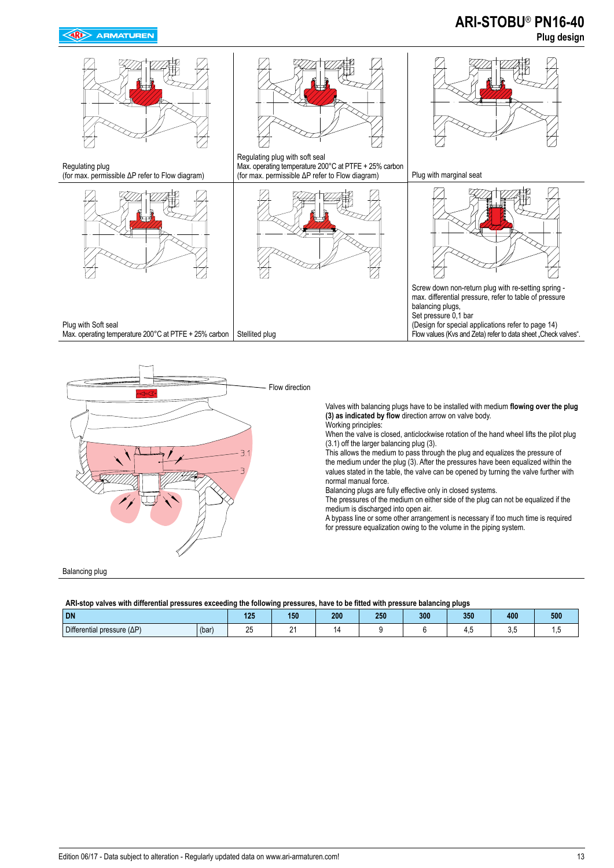## **ARI-STOBU**® **PN16-40 Plug design**



Regulating plug (for max. permissible ΔP refer to Flow diagram)





Regulating plug with soft seal Max. operating temperature 200°C at PTFE + 25% carbon (for max. permissible ΔP refer to Flow diagram) Plug with marginal seat





Screw down non-return plug with re-setting spring max. differential pressure, refer to table of pressure balancing plugs, Set pressure 0,1 bar (Design for special applications refer to page 14) Flow values (Kvs and Zeta) refer to data sheet "Check valves".

Plug with Soft seal 

Max. operating temperature 200°C at PTFE + 25% carbon  $\vert$  Stellited plug



Valves with balancing plugs have to be installed with medium **flowing over the plug (3) as indicated by flow** direction arrow on valve body. Working principles:

When the valve is closed, anticlockwise rotation of the hand wheel lifts the pilot plug (3.1) off the larger balancing plug (3).

This allows the medium to pass through the plug and equalizes the pressure of the medium under the plug (3). After the pressures have been equalized within the values stated in the table, the valve can be opened by turning the valve further with normal manual force.

Balancing plugs are fully effective only in closed systems.

The pressures of the medium on either side of the plug can not be equalized if the medium is discharged into open air.

A bypass line or some other arrangement is necessary if too much time is required for pressure equalization owing to the volume in the piping system.

Balancing plug

#### **ARI-stop valves with differential pressures exceeding the following pressures, have to be fitted with pressure balancing plugs**

| -----------                        | ------------ |                                          |     |     |     |     |     |     |         |
|------------------------------------|--------------|------------------------------------------|-----|-----|-----|-----|-----|-----|---------|
| <b>DN</b>                          |              | 195<br><b>Contract Contract Contract</b> | 150 | 200 | 250 | 300 | 350 | 400 | 500     |
| Differential pressure $(\Delta P)$ | (bar)        | ^-<br><u>Lu</u>                          | -   |     |     |     |     | v.v | $\cdot$ |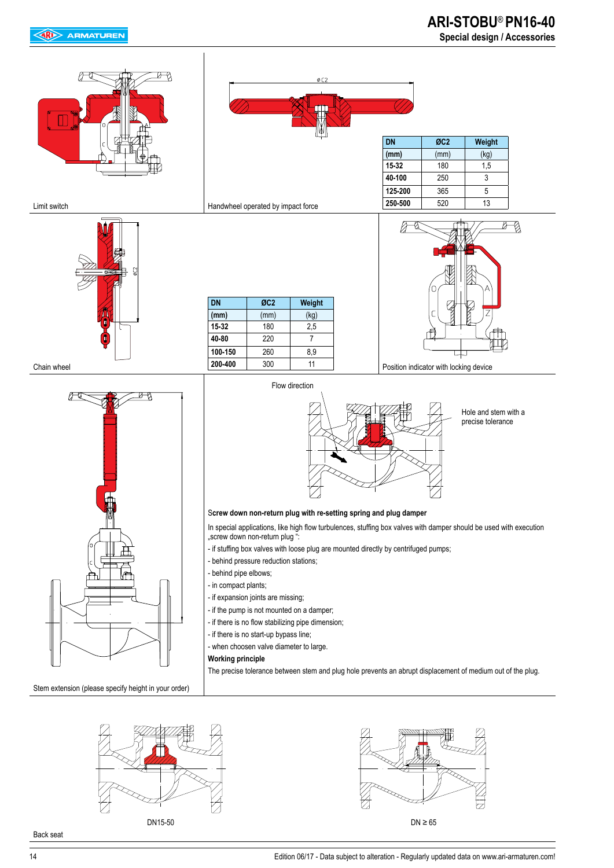## **ARI-STOBU**® **PN16-40 Special design / Accessories**





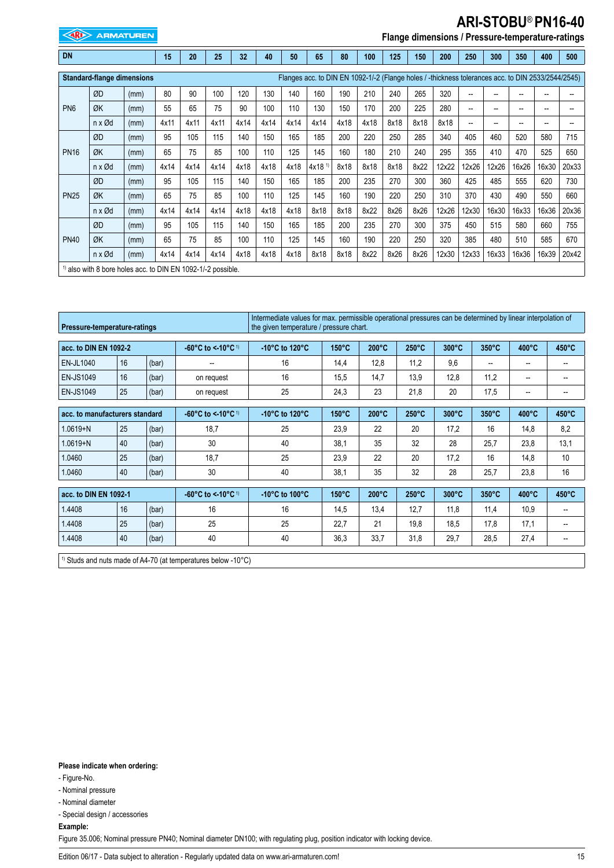## **ARI-STOBU**® **PN16-40**

**EXAMPLE ARMATUREN** 

## **Flange dimensions / Pressure-temperature-ratings**

| DN              |                                                               |      | 15   | 20   | 25   | 32   | 40   | 50   | 65                                                                                                 | 80   | 100  | 125  | 150  | 200   | 250   | 300                      | 350   | 400                      | 500   |
|-----------------|---------------------------------------------------------------|------|------|------|------|------|------|------|----------------------------------------------------------------------------------------------------|------|------|------|------|-------|-------|--------------------------|-------|--------------------------|-------|
|                 | <b>Standard-flange dimensions</b>                             |      |      |      |      |      |      |      | Flanges acc. to DIN EN 1092-1/-2 (Flange holes / -thickness tolerances acc. to DIN 2533/2544/2545) |      |      |      |      |       |       |                          |       |                          |       |
|                 | ØD                                                            | (mm) | 80   | 90   | 100  | 120  | 130  | 140  | 160                                                                                                | 190  | 210  | 240  | 265  | 320   | --    | --                       | --    | --                       |       |
| PN <sub>6</sub> | ØK                                                            | (mm) | 55   | 65   | 75   | 90   | 100  | 110  | 130                                                                                                | 150  | 170  | 200  | 225  | 280   | --    | $- -$                    | $- -$ | --                       |       |
|                 | $n \times \emptyset$ d                                        | (mm) | 4x11 | 4x11 | 4x11 | 4x14 | 4x14 | 4x14 | 4x14                                                                                               | 4x18 | 4x18 | 8x18 | 8x18 | 8x18  | --    | $\overline{\phantom{a}}$ | $- -$ | $\overline{\phantom{a}}$ |       |
|                 | ØD                                                            | (mm) | 95   | 105  | 115  | 140  | 150  | 165  | 185                                                                                                | 200  | 220  | 250  | 285  | 340   | 405   | 460                      | 520   | 580                      | 715   |
| <b>PN16</b>     | ØK                                                            | (mm) | 65   | 75   | 85   | 100  | 110  | 125  | 145                                                                                                | 160  | 180  | 210  | 240  | 295   | 355   | 410                      | 470   | 525                      | 650   |
|                 | $n \times \varnothing d$                                      | (mm) | 4x14 | 4x14 | 4x14 | 4x18 | 4x18 | 4x18 | $4x18$ <sup>1)</sup>                                                                               | 8x18 | 8x18 | 8x18 | 8x22 | 12x22 | 12x26 | 12x26                    | 16x26 | 16x30                    | 20x33 |
|                 | ØD                                                            | (mm) | 95   | 105  | 115  | 140  | 150  | 165  | 185                                                                                                | 200  | 235  | 270  | 300  | 360   | 425   | 485                      | 555   | 620                      | 730   |
| <b>PN25</b>     | ØK                                                            | (mm) | 65   | 75   | 85   | 100  | 110  | 125  | 145                                                                                                | 160  | 190  | 220  | 250  | 310   | 370   | 430                      | 490   | 550                      | 660   |
|                 | $n \times \varnothing d$                                      | (mm) | 4x14 | 4x14 | 4x14 | 4x18 | 4x18 | 4x18 | 8x18                                                                                               | 8x18 | 8x22 | 8x26 | 8x26 | 12x26 | 12x30 | 16x30                    | 16x33 | 16x36                    | 20x36 |
|                 | ØD                                                            | (mm) | 95   | 105  | 115  | 140  | 150  | 165  | 185                                                                                                | 200  | 235  | 270  | 300  | 375   | 450   | 515                      | 580   | 660                      | 755   |
| <b>PN40</b>     | ØK                                                            | (mm) | 65   | 75   | 85   | 100  | 110  | 125  | 145                                                                                                | 160  | 190  | 220  | 250  | 320   | 385   | 480                      | 510   | 585                      | 670   |
|                 | $n \times \varnothing d$                                      | (mm) | 4x14 | 4x14 | 4x14 | 4x18 | 4x18 | 4x18 | 8x18                                                                                               | 8x18 | 8x22 | 8x26 | 8x26 | 12x30 | 12x33 | 16x33                    | 16x36 | 16x39                    | 20x42 |
|                 | $1$ also with 8 bore holes acc. to DIN EN 1092-1/-2 possible. |      |      |      |      |      |      |      |                                                                                                    |      |      |      |      |       |       |                          |       |                          |       |
|                 |                                                               |      |      |      |      |      |      |      |                                                                                                    |      |      |      |      |       |       |                          |       |                          |       |

| Pressure-temperature-ratings   |    |       |                                                    | Intermediate values for max, permissible operational pressures can be determined by linear interpolation of<br>the given temperature / pressure chart. |                 |                 |                 |                 |                          |                          |       |
|--------------------------------|----|-------|----------------------------------------------------|--------------------------------------------------------------------------------------------------------------------------------------------------------|-----------------|-----------------|-----------------|-----------------|--------------------------|--------------------------|-------|
| acc. to DIN EN 1092-2          |    |       | $-60^{\circ}$ C to < 10 $^{\circ}$ C <sup>1)</sup> | -10 $\degree$ C to 120 $\degree$ C                                                                                                                     | $150^{\circ}$ C | $200^{\circ}$ C | $250^{\circ}$ C | $300^{\circ}$ C | $350^{\circ}$ C          | 400°C                    | 450°C |
| <b>EN-JL1040</b>               | 16 | (bar) |                                                    | 16                                                                                                                                                     | 14,4            | 12,8            | 11,2            | 9,6             | $\overline{\phantom{a}}$ | --                       | --    |
| <b>EN-JS1049</b>               | 16 | (bar) | on request                                         | 16                                                                                                                                                     | 15,5            | 14,7            | 13,9            | 12,8            | 11,2                     | --                       |       |
| <b>EN-JS1049</b>               | 25 | (bar) | on request                                         | 25                                                                                                                                                     | 24,3            | 23              | 21,8            | 20              | 17,5                     | $\overline{\phantom{a}}$ | --    |
|                                |    |       |                                                    |                                                                                                                                                        |                 |                 |                 |                 |                          |                          |       |
| acc. to manufacturers standard |    |       | -60°C to < 10°C $\frac{1}{2}$                      | -10 $^{\circ}$ C to 120 $^{\circ}$ C                                                                                                                   | $150^{\circ}$ C | $200^{\circ}$ C | $250^{\circ}$ C | $300^{\circ}$ C | $350^{\circ}$ C          | $400^{\circ}$ C          | 450°C |
| $1.0619 + N$                   | 25 | (bar) | 18,7                                               | 25                                                                                                                                                     | 23,9            | 22              | 20              | 17.2            | 16                       | 14,8                     | 8,2   |
| $1.0619 + N$                   | 40 | (bar) | 30                                                 | 40                                                                                                                                                     | 38,1            | 35              | 32              | 28              | 25,7                     | 23,8                     | 13,1  |
| 1.0460                         | 25 | (bar) | 18.7                                               | 25                                                                                                                                                     | 23.9            | 22              | 20              | 17.2            | 16                       | 14.8                     | 10    |
| 1.0460                         | 40 | (bar) | 30                                                 | 40                                                                                                                                                     | 38,1            | 35              | 32              | 28              | 25,7                     | 23,8                     | 16    |
|                                |    |       |                                                    |                                                                                                                                                        |                 |                 |                 |                 |                          |                          |       |
| acc. to DIN EN 1092-1          |    |       | -60°C to < 10°C 1)                                 | -10 $^{\circ}$ C to 100 $^{\circ}$ C                                                                                                                   | $150^{\circ}$ C | $200^{\circ}$ C | $250^{\circ}$ C | $300^{\circ}$ C | $350^{\circ}$ C          | $400^{\circ}$ C          | 450°C |
| 1.4408                         | 16 | (bar) | 16                                                 | 16                                                                                                                                                     | 14,5            | 13,4            | 12.7            | 11,8            | 11.4                     | 10.9                     | $- -$ |
| 1.4408                         | 25 | (bar) | 25                                                 | 25                                                                                                                                                     | 22,7            | 21              | 19,8            | 18,5            | 17,8                     | 17,1                     |       |
| 1.4408                         | 40 | (bar) | 40                                                 | 40                                                                                                                                                     | 36,3            | 33,7            | 31,8            | 29,7            | 28,5                     | 27,4                     | --    |

<sup>1)</sup> Studs and nuts made of A4-70 (at temperatures below -10°C)

**Please indicate when ordering:**

- Figure-No.

- Nominal pressure

- Nominal diameter

- Special design / accessories

**Example:**

Figure 35.006; Nominal pressure PN40; Nominal diameter DN100; with regulating plug, position indicator with locking device.